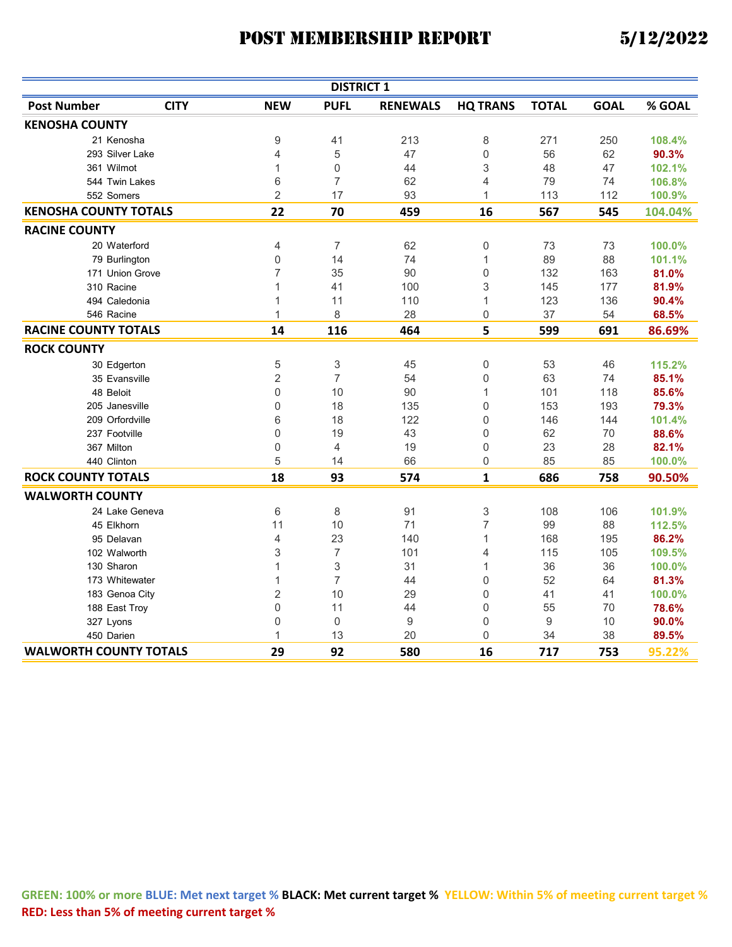|                               |             |                | <b>DISTRICT 1</b> |                 |                           |              |             |         |
|-------------------------------|-------------|----------------|-------------------|-----------------|---------------------------|--------------|-------------|---------|
| <b>Post Number</b>            | <b>CITY</b> | <b>NEW</b>     | <b>PUFL</b>       | <b>RENEWALS</b> | <b>HQ TRANS</b>           | <b>TOTAL</b> | <b>GOAL</b> | % GOAL  |
| <b>KENOSHA COUNTY</b>         |             |                |                   |                 |                           |              |             |         |
| 21 Kenosha                    |             | 9              | 41                | 213             | 8                         | 271          | 250         | 108.4%  |
| 293 Silver Lake               |             | 4              | 5                 | 47              | $\mathbf 0$               | 56           | 62          | 90.3%   |
| 361 Wilmot                    |             | 1              | $\mathbf 0$       | 44              | 3                         | 48           | 47          | 102.1%  |
| 544 Twin Lakes                |             | 6              | 7                 | 62              | $\overline{4}$            | 79           | 74          | 106.8%  |
| 552 Somers                    |             | $\overline{2}$ | 17                | 93              | $\mathbf{1}$              | 113          | 112         | 100.9%  |
| <b>KENOSHA COUNTY TOTALS</b>  |             | 22             | 70                | 459             | 16                        | 567          | 545         | 104.04% |
| <b>RACINE COUNTY</b>          |             |                |                   |                 |                           |              |             |         |
| 20 Waterford                  |             | 4              | $\overline{7}$    | 62              | 0                         | 73           | 73          | 100.0%  |
| 79 Burlington                 |             | 0              | 14                | 74              | $\mathbf{1}$              | 89           | 88          | 101.1%  |
| 171 Union Grove               |             | 7              | 35                | 90              | 0                         | 132          | 163         | 81.0%   |
| 310 Racine                    |             | 1              | 41                | 100             | 3                         | 145          | 177         | 81.9%   |
| 494 Caledonia                 |             | 1              | 11                | 110             | 1                         | 123          | 136         | 90.4%   |
| 546 Racine                    |             | $\mathbf{1}$   | 8                 | 28              | 0                         | 37           | 54          | 68.5%   |
| <b>RACINE COUNTY TOTALS</b>   |             | 14             | 116               | 464             | 5                         | 599          | 691         | 86.69%  |
| <b>ROCK COUNTY</b>            |             |                |                   |                 |                           |              |             |         |
| 30 Edgerton                   |             | 5              | 3                 | 45              | 0                         | 53           | 46          | 115.2%  |
| 35 Evansville                 |             | $\overline{2}$ | 7                 | 54              | $\mathbf 0$               | 63           | 74          | 85.1%   |
| 48 Beloit                     |             | 0              | 10                | 90              | 1                         | 101          | 118         | 85.6%   |
| 205 Janesville                |             | 0              | 18                | 135             | $\mathbf 0$               | 153          | 193         | 79.3%   |
| 209 Orfordville               |             | 6              | 18                | 122             | $\mathbf 0$               | 146          | 144         | 101.4%  |
| 237 Footville                 |             | 0              | 19                | 43              | $\mathbf 0$               | 62           | 70          | 88.6%   |
| 367 Milton                    |             | 0              | $\overline{4}$    | 19              | 0                         | 23           | 28          | 82.1%   |
| 440 Clinton                   |             | 5              | 14                | 66              | $\mathbf 0$               | 85           | 85          | 100.0%  |
| <b>ROCK COUNTY TOTALS</b>     |             | 18             | 93                | 574             | $\mathbf{1}$              | 686          | 758         | 90.50%  |
| <b>WALWORTH COUNTY</b>        |             |                |                   |                 |                           |              |             |         |
| 24 Lake Geneva                |             | 6              | 8                 | 91              | $\ensuremath{\mathsf{3}}$ | 108          | 106         | 101.9%  |
| 45 Elkhorn                    |             | 11             | 10                | 71              | $\overline{7}$            | 99           | 88          | 112.5%  |
| 95 Delavan                    |             | 4              | 23                | 140             | $\mathbf{1}$              | 168          | 195         | 86.2%   |
| 102 Walworth                  |             | 3              | $\overline{7}$    | 101             | $\overline{4}$            | 115          | 105         | 109.5%  |
| 130 Sharon                    |             | $\mathbf{1}$   | 3                 | 31              | $\mathbf{1}$              | 36           | 36          | 100.0%  |
| 173 Whitewater                |             | $\mathbf{1}$   | 7                 | 44              | $\mathbf 0$               | 52           | 64          | 81.3%   |
| 183 Genoa City                |             | $\overline{2}$ | 10                | 29              | $\Omega$                  | 41           | 41          | 100.0%  |
| 188 East Troy                 |             | 0              | 11                | 44              | 0                         | 55           | 70          | 78.6%   |
| 327 Lyons                     |             | 0              | $\mathbf 0$       | 9               | $\mathbf 0$               | 9            | 10          | 90.0%   |
| 450 Darien                    |             | 1              | 13                | 20              | 0                         | 34           | 38          | 89.5%   |
| <b>WALWORTH COUNTY TOTALS</b> |             | 29             | 92                | 580             | 16                        | 717          | 753         | 95.22%  |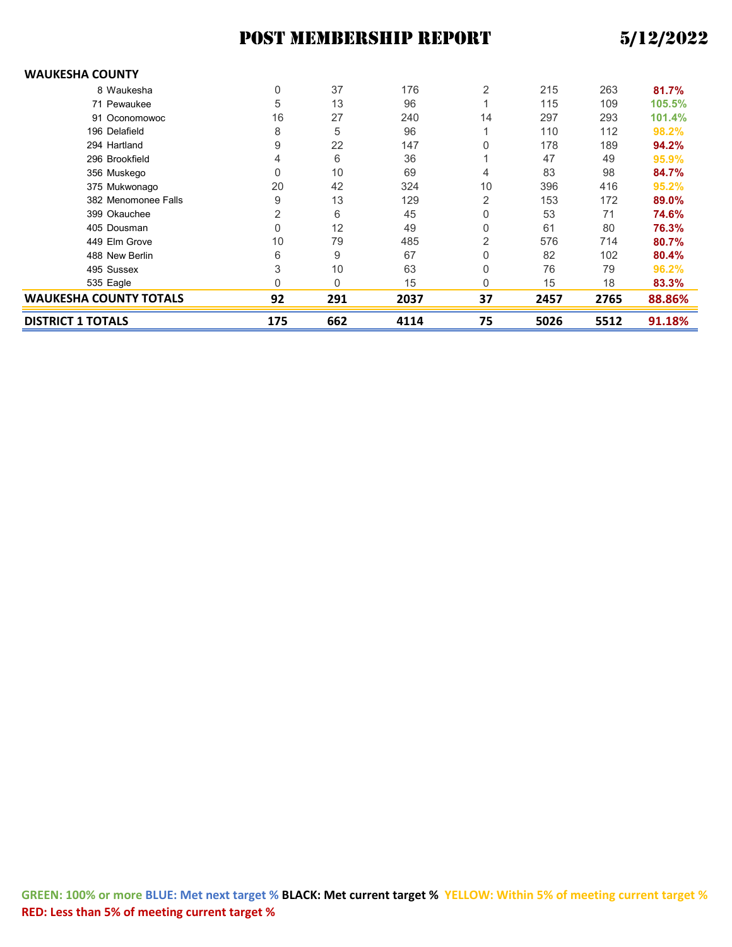#### **WAUKESHA COUNTY**

| <b>DISTRICT 1 TOTALS</b>      | 175 | 662          | 4114 | 75             | 5026 | 5512 | 91.18% |
|-------------------------------|-----|--------------|------|----------------|------|------|--------|
| <b>WAUKESHA COUNTY TOTALS</b> | 92  | 291          | 2037 | 37             | 2457 | 2765 | 88.86% |
| 535 Eagle                     | 0   | $\mathbf{0}$ | 15   | 0              | 15   | 18   | 83.3%  |
| 495 Sussex                    | 3   | 10           | 63   | 0              | 76   | 79   | 96.2%  |
| 488 New Berlin                | 6   | 9            | 67   | 0              | 82   | 102  | 80.4%  |
| 449 Elm Grove                 | 10  | 79           | 485  | 2              | 576  | 714  | 80.7%  |
| 405 Dousman                   | 0   | 12           | 49   | 0              | 61   | 80   | 76.3%  |
| 399 Okauchee                  | 2   | 6            | 45   | 0              | 53   | 71   | 74.6%  |
| 382 Menomonee Falls           | 9   | 13           | 129  | 2              | 153  | 172  | 89.0%  |
| 375 Mukwonago                 | 20  | 42           | 324  | 10             | 396  | 416  | 95.2%  |
| 356 Muskego                   | 0   | 10           | 69   | 4              | 83   | 98   | 84.7%  |
| 296 Brookfield                | 4   | 6            | 36   |                | 47   | 49   | 95.9%  |
| 294 Hartland                  | 9   | 22           | 147  | 0              | 178  | 189  | 94.2%  |
| 196 Delafield                 | 8   | 5            | 96   |                | 110  | 112  | 98.2%  |
| 91 Oconomowoc                 | 16  | 27           | 240  | 14             | 297  | 293  | 101.4% |
| 71 Pewaukee                   | 5   | 13           | 96   |                | 115  | 109  | 105.5% |
| 8 Waukesha                    | 0   | 37           | 176  | $\overline{2}$ | 215  | 263  | 81.7%  |
|                               |     |              |      |                |      |      |        |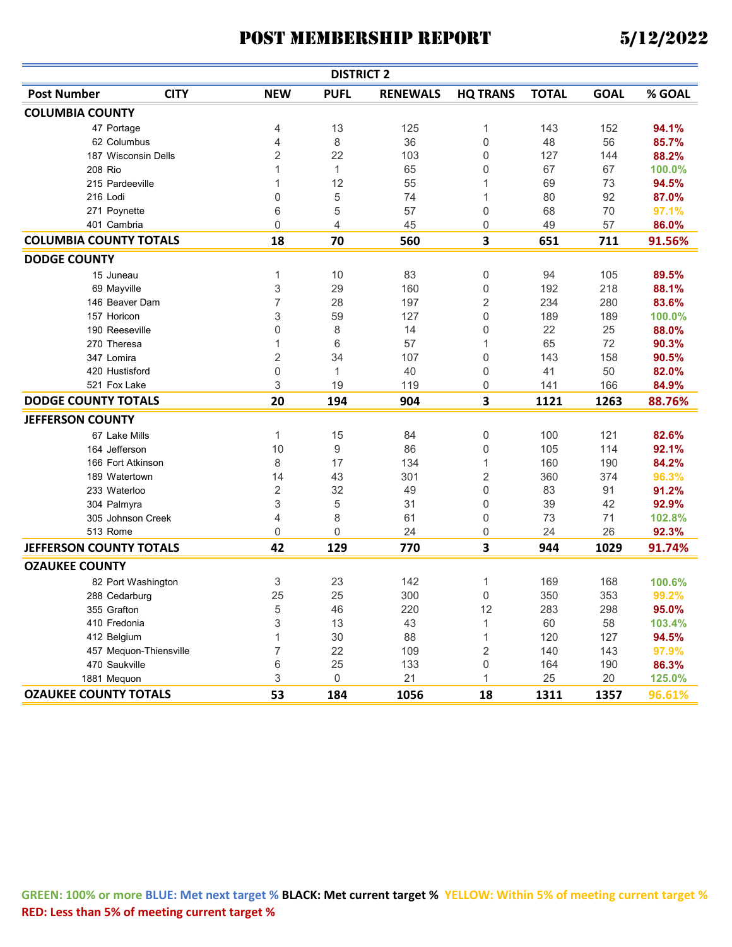| <b>DISTRICT 2</b>             |                        |                |              |                 |                 |              |             |        |  |  |
|-------------------------------|------------------------|----------------|--------------|-----------------|-----------------|--------------|-------------|--------|--|--|
| <b>Post Number</b>            | <b>CITY</b>            | <b>NEW</b>     | <b>PUFL</b>  | <b>RENEWALS</b> | <b>HQ TRANS</b> | <b>TOTAL</b> | <b>GOAL</b> | % GOAL |  |  |
| <b>COLUMBIA COUNTY</b>        |                        |                |              |                 |                 |              |             |        |  |  |
| 47 Portage                    |                        | 4              | 13           | 125             | 1               | 143          | 152         | 94.1%  |  |  |
| 62 Columbus                   |                        | 4              | 8            | 36              | 0               | 48           | 56          | 85.7%  |  |  |
| 187 Wisconsin Dells           |                        | $\overline{2}$ | 22           | 103             | 0               | 127          | 144         | 88.2%  |  |  |
| 208 Rio                       |                        | 1              | $\mathbf{1}$ | 65              | 0               | 67           | 67          | 100.0% |  |  |
| 215 Pardeeville               |                        | 1              | 12           | 55              | 1               | 69           | 73          | 94.5%  |  |  |
| 216 Lodi                      |                        | 0              | 5            | 74              | 1               | 80           | 92          | 87.0%  |  |  |
| 271 Poynette                  |                        | 6              | 5            | 57              | 0               | 68           | 70          | 97.1%  |  |  |
| 401 Cambria                   |                        | 0              | 4            | 45              | 0               | 49           | 57          | 86.0%  |  |  |
| <b>COLUMBIA COUNTY TOTALS</b> |                        | 18             | 70           | 560             | 3               | 651          | 711         | 91.56% |  |  |
| <b>DODGE COUNTY</b>           |                        |                |              |                 |                 |              |             |        |  |  |
| 15 Juneau                     |                        | 1              | 10           | 83              | 0               | 94           | 105         | 89.5%  |  |  |
| 69 Mayville                   |                        | 3              | 29           | 160             | 0               | 192          | 218         | 88.1%  |  |  |
| 146 Beaver Dam                |                        | 7              | 28           | 197             | 2               | 234          | 280         | 83.6%  |  |  |
| 157 Horicon                   |                        | 3              | 59           | 127             | 0               | 189          | 189         | 100.0% |  |  |
| 190 Reeseville                |                        | 0              | 8            | 14              | 0               | 22           | 25          | 88.0%  |  |  |
| 270 Theresa                   |                        | 1              | 6            | 57              | 1               | 65           | 72          | 90.3%  |  |  |
| 347 Lomira                    |                        | $\overline{2}$ | 34           | 107             | 0               | 143          | 158         | 90.5%  |  |  |
| 420 Hustisford                |                        | 0              | $\mathbf{1}$ | 40              | 0               | 41           | 50          | 82.0%  |  |  |
| 521 Fox Lake                  |                        | 3              | 19           | 119             | 0               | 141          | 166         | 84.9%  |  |  |
| <b>DODGE COUNTY TOTALS</b>    |                        | 20             | 194          | 904             | 3               | 1121         | 1263        | 88.76% |  |  |
| <b>JEFFERSON COUNTY</b>       |                        |                |              |                 |                 |              |             |        |  |  |
| 67 Lake Mills                 |                        | 1              | 15           | 84              | 0               | 100          | 121         | 82.6%  |  |  |
| 164 Jefferson                 |                        | 10             | 9            | 86              | 0               | 105          | 114         | 92.1%  |  |  |
| 166 Fort Atkinson             |                        | 8              | 17           | 134             | 1               | 160          | 190         | 84.2%  |  |  |
| 189 Watertown                 |                        | 14             | 43           | 301             | 2               | 360          | 374         | 96.3%  |  |  |
| 233 Waterloo                  |                        | $\sqrt{2}$     | 32           | 49              | 0               | 83           | 91          | 91.2%  |  |  |
| 304 Palmyra                   |                        | 3              | 5            | 31              | 0               | 39           | 42          | 92.9%  |  |  |
| 305 Johnson Creek             |                        | 4              | 8            | 61              | 0               | 73           | 71          | 102.8% |  |  |
| 513 Rome                      |                        | 0              | $\mathbf{0}$ | 24              | 0               | 24           | 26          | 92.3%  |  |  |
| JEFFERSON COUNTY TOTALS       |                        | 42             | 129          | 770             | 3               | 944          | 1029        | 91.74% |  |  |
| <b>OZAUKEE COUNTY</b>         |                        |                |              |                 |                 |              |             |        |  |  |
|                               | 82 Port Washington     | 3              | 23           | 142             | 1               | 169          | 168         | 100.6% |  |  |
| 288 Cedarburg                 |                        | 25             | 25           | 300             | 0               | 350          | 353         | 99.2%  |  |  |
| 355 Grafton                   |                        | 5              | 46           | 220             | 12              | 283          | 298         | 95.0%  |  |  |
| 410 Fredonia                  |                        | 3              | 13           | 43              | 1               | 60           | 58          | 103.4% |  |  |
| 412 Belgium                   |                        | $\mathbf 1$    | 30           | 88              | 1               | 120          | 127         | 94.5%  |  |  |
|                               | 457 Mequon-Thiensville | $\overline{7}$ | 22           | 109             | $\overline{c}$  | 140          | 143         | 97.9%  |  |  |
| 470 Saukville                 |                        | 6              | 25           | 133             | 0               | 164          | 190         | 86.3%  |  |  |
| 1881 Mequon                   |                        | 3              | $\mathbf 0$  | 21              | 1               | 25           | 20          | 125.0% |  |  |
| <b>OZAUKEE COUNTY TOTALS</b>  |                        | 53             | 184          | 1056            | 18              | 1311         | 1357        | 96.61% |  |  |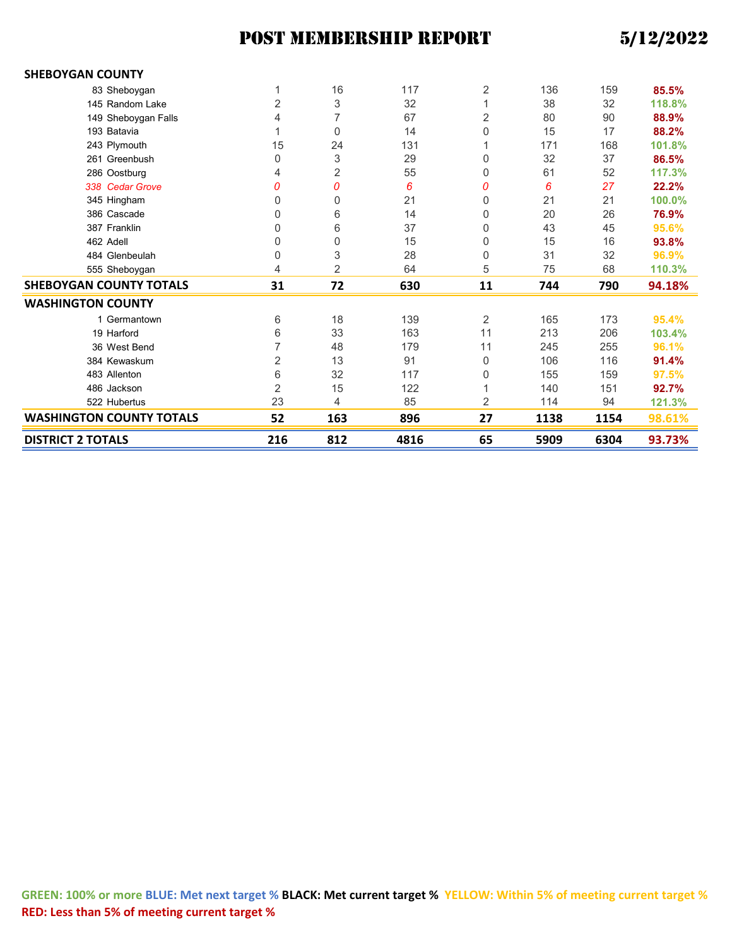| <b>DISTRICT 2 TOTALS</b>        | 216            | 812            | 4816 | 65 | 5909 | 6304 | 93.73% |
|---------------------------------|----------------|----------------|------|----|------|------|--------|
| <b>WASHINGTON COUNTY TOTALS</b> | 52             | 163            | 896  | 27 | 1138 | 1154 | 98.61% |
| 522 Hubertus                    | 23             | 4              | 85   | 2  | 114  | 94   | 121.3% |
| 486 Jackson                     | 2              | 15             | 122  |    | 140  | 151  | 92.7%  |
| 483 Allenton                    | 6              | 32             | 117  | 0  | 155  | 159  | 97.5%  |
| 384 Kewaskum                    | 2              | 13             | 91   | 0  | 106  | 116  | 91.4%  |
| 36 West Bend                    | 7              | 48             | 179  | 11 | 245  | 255  | 96.1%  |
| 19 Harford                      | 6              | 33             | 163  | 11 | 213  | 206  | 103.4% |
| 1 Germantown                    | 6              | 18             | 139  | 2  | 165  | 173  | 95.4%  |
| <b>WASHINGTON COUNTY</b>        |                |                |      |    |      |      |        |
| <b>SHEBOYGAN COUNTY TOTALS</b>  | 31             | 72             | 630  | 11 | 744  | 790  | 94.18% |
| 555 Sheboygan                   | 4              | $\overline{2}$ | 64   | 5  | 75   | 68   | 110.3% |
| 484 Glenbeulah                  | 0              | 3              | 28   | 0  | 31   | 32   | 96.9%  |
| 462 Adell                       | 0              | 0              | 15   | 0  | 15   | 16   | 93.8%  |
| 387 Franklin                    | 0              | 6              | 37   | 0  | 43   | 45   | 95.6%  |
| 386 Cascade                     | 0              | 6              | 14   | 0  | 20   | 26   | 76.9%  |
| 345 Hingham                     | 0              | 0              | 21   | 0  | 21   | 21   | 100.0% |
| 338 Cedar Grove                 | 0              | 0              | 6    | 0  | 6    | 27   | 22.2%  |
| 286 Oostburg                    | 4              | 2              | 55   | 0  | 61   | 52   | 117.3% |
| 261 Greenbush                   | 0              | 3              | 29   | 0  | 32   | 37   | 86.5%  |
| 243 Plymouth                    | 15             | 24             | 131  |    | 171  | 168  | 101.8% |
| 193 Batavia                     | 1              | 0              | 14   | 0  | 15   | 17   | 88.2%  |
| 149 Sheboygan Falls             | 4              | 7              | 67   | 2  | 80   | 90   | 88.9%  |
| 145 Random Lake                 | $\overline{2}$ | 3              | 32   |    | 38   | 32   | 118.8% |
| 83 Sheboygan                    | 1              | 16             | 117  | 2  | 136  | 159  | 85.5%  |
| <b>SHEBOYGAN COUNTY</b>         |                |                |      |    |      |      |        |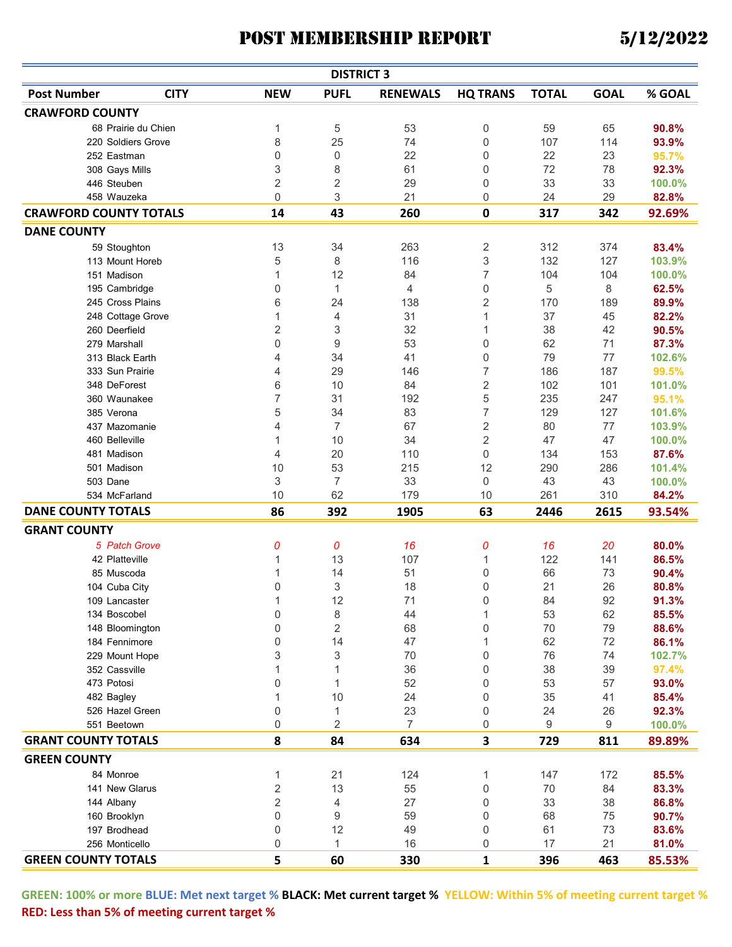|                               |                     |                | <b>DISTRICT 3</b> |                 |                 |              |             |                |
|-------------------------------|---------------------|----------------|-------------------|-----------------|-----------------|--------------|-------------|----------------|
| <b>Post Number</b>            | <b>CITY</b>         | <b>NEW</b>     | <b>PUFL</b>       | <b>RENEWALS</b> | <b>HQ TRANS</b> | <b>TOTAL</b> | <b>GOAL</b> | % GOAL         |
| <b>CRAWFORD COUNTY</b>        |                     |                |                   |                 |                 |              |             |                |
|                               | 68 Prairie du Chien | 1              | 5                 | 53              | 0               | 59           | 65          | 90.8%          |
|                               | 220 Soldiers Grove  | 8              | 25                | 74              | 0               | 107          | 114         | 93.9%          |
| 252 Eastman                   |                     | 0              | 0                 | 22              | 0               | 22           | 23          | 95.7%          |
| 308 Gays Mills                |                     | 3              | 8                 | 61              | 0               | 72           | 78          | 92.3%          |
| 446 Steuben                   |                     | 2              | 2                 | 29              | 0               | 33           | 33          | 100.0%         |
| 458 Wauzeka                   |                     | 0              | 3                 | 21              | 0               | 24           | 29          | 82.8%          |
| <b>CRAWFORD COUNTY TOTALS</b> |                     | 14             | 43                | 260             | 0               | 317          | 342         | 92.69%         |
| <b>DANE COUNTY</b>            |                     |                |                   |                 |                 |              |             |                |
|                               | 59 Stoughton        | 13             | 34                | 263             | 2               | 312          | 374         | 83.4%          |
|                               | 113 Mount Horeb     | 5              | 8                 | 116             | 3               | 132          | 127         | 103.9%         |
| 151 Madison                   |                     | 1              | 12                | 84              | 7               | 104          | 104         | 100.0%         |
|                               | 195 Cambridge       | 0              | 1                 | 4               | 0               | 5            | 8           | 62.5%          |
|                               | 245 Cross Plains    | 6              | 24                | 138             | 2               | 170          | 189         | 89.9%          |
|                               |                     | 1              | 4                 | 31              | $\mathbf{1}$    | 37           | 45          |                |
| 260 Deerfield                 | 248 Cottage Grove   |                |                   | 32              | 1               | 38           | 42          | 82.2%<br>90.5% |
|                               |                     | 2              | 3                 |                 |                 |              |             |                |
| 279 Marshall                  |                     | 0              | 9                 | 53              | 0               | 62           | 71          | 87.3%          |
|                               | 313 Black Earth     | 4              | 34                | 41              | 0               | 79           | 77          | 102.6%         |
|                               | 333 Sun Prairie     | 4              | 29                | 146             | 7               | 186          | 187         | 99.5%          |
| 348 DeForest                  |                     | 6              | 10                | 84              | $\overline{c}$  | 102          | 101         | 101.0%         |
|                               | 360 Waunakee        | 7              | 31                | 192             | 5               | 235          | 247         | 95.1%          |
| 385 Verona                    |                     | 5              | 34                | 83              | 7               | 129          | 127         | 101.6%         |
|                               | 437 Mazomanie       | 4              | $\overline{7}$    | 67              | $\overline{2}$  | 80           | 77          | 103.9%         |
| 460 Belleville                |                     | 1              | 10                | 34              | $\overline{2}$  | 47           | 47          | 100.0%         |
| 481 Madison                   |                     | 4              | 20                | 110             | 0               | 134          | 153         | 87.6%          |
| 501 Madison                   |                     | 10             | 53                | 215             | 12              | 290          | 286         | 101.4%         |
| 503 Dane                      |                     | 3              | 7                 | 33              | 0               | 43           | 43          | 100.0%         |
| 534 McFarland                 |                     | 10             | 62                | 179             | 10              | 261          | 310         | 84.2%          |
| <b>DANE COUNTY TOTALS</b>     |                     | 86             | 392               | 1905            | 63              | 2446         | 2615        | 93.54%         |
| <b>GRANT COUNTY</b>           |                     |                |                   |                 |                 |              |             |                |
|                               | 5 Patch Grove       | 0              | 0                 | 16              | 0               | 16           | 20          | 80.0%          |
|                               | 42 Platteville      | 1              | 13                | 107             | 1               | 122          | 141         | 86.5%          |
| 85 Muscoda                    |                     | 1              | 14                | 51              | 0               | 66           | 73          | 90.4%          |
| 104 Cuba City                 |                     | 0              | 3                 | 18              | 0               | 21           | 26          | 80.8%          |
| 109 Lancaster                 |                     | 1              | 12                | 71              | 0               | 84           | 92          | 91.3%          |
| 134 Boscobel                  |                     | 0              | 8                 | 44              | 1               | 53           | 62          | 85.5%          |
|                               | 148 Bloomington     | 0              | 2                 | 68              | 0               | 70           | 79          | 88.6%          |
|                               | 184 Fennimore       | 0              | 14                | 47              | 1               | 62           | 72          | 86.1%          |
|                               | 229 Mount Hope      | 3              | 3                 | 70              | 0               | 76           | 74          | 102.7%         |
| 352 Cassville                 |                     | 1              | 1                 | 36              | 0               | 38           | 39          | 97.4%          |
| 473 Potosi                    |                     | 0              | 1                 | 52              | 0               | 53           | 57          | 93.0%          |
| 482 Bagley                    |                     | 1              | 10                | 24              | 0               | 35           | 41          | 85.4%          |
|                               | 526 Hazel Green     | 0              | 1                 | 23              | 0               | 24           | 26          | 92.3%          |
| 551 Beetown                   |                     | 0              | 2                 | $\overline{7}$  | 0               | 9            | 9           | 100.0%         |
| <b>GRANT COUNTY TOTALS</b>    |                     | 8              | 84                |                 | 3               | 729          |             |                |
|                               |                     |                |                   | 634             |                 |              | 811         | 89.89%         |
| <b>GREEN COUNTY</b>           |                     |                |                   |                 |                 |              |             |                |
| 84 Monroe                     |                     | 1              | 21                | 124             | 1               | 147          | 172         | 85.5%          |
|                               | 141 New Glarus      | 2              | 13                | 55              | 0               | 70           | 84          | 83.3%          |
| 144 Albany                    |                     | $\overline{2}$ | 4                 | 27              | 0               | 33           | 38          | 86.8%          |
| 160 Brooklyn                  |                     | 0              | 9                 | 59              | 0               | 68           | 75          | 90.7%          |
| 197 Brodhead                  |                     | 0              | 12                | 49              | 0               | 61           | 73          | 83.6%          |
| 256 Monticello                |                     | 0              | $\mathbf{1}$      | 16              | 0               | 17           | 21          | 81.0%          |
| <b>GREEN COUNTY TOTALS</b>    |                     | 5              | 60                | 330             | 1               | 396          | 463         | 85.53%         |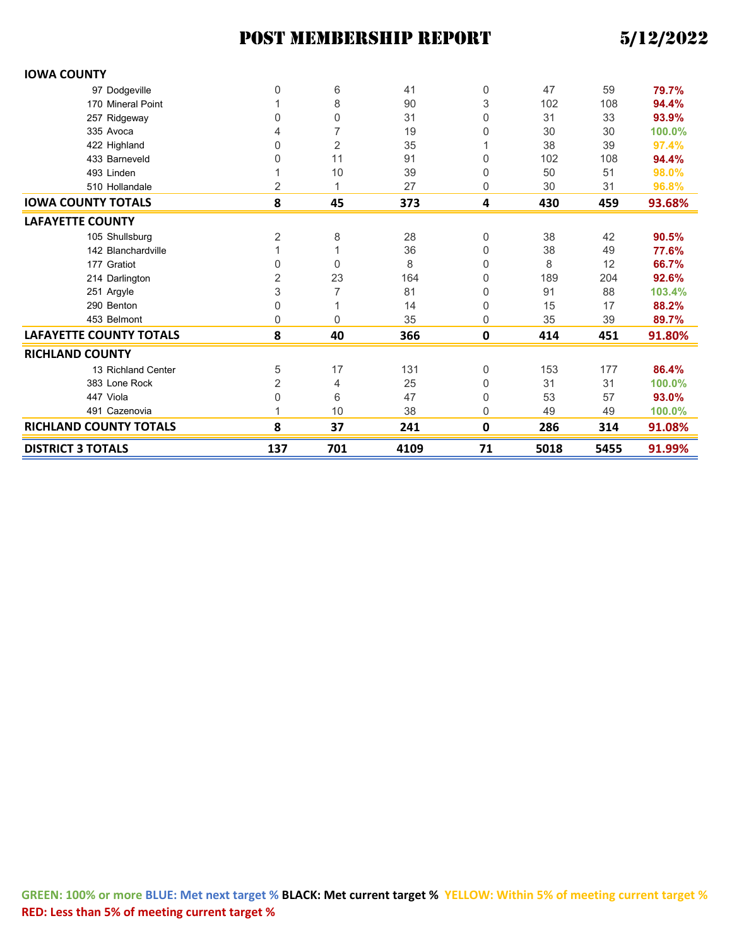| <b>IOWA COUNTY</b>             |                |                |      |             |      |      |        |
|--------------------------------|----------------|----------------|------|-------------|------|------|--------|
| 97 Dodgeville                  | 0              | 6              | 41   | 0           | 47   | 59   | 79.7%  |
| 170 Mineral Point              |                | 8              | 90   | 3           | 102  | 108  | 94.4%  |
| 257 Ridgeway                   | 0              | 0              | 31   | 0           | 31   | 33   | 93.9%  |
| 335 Avoca                      | 4              | $\overline{7}$ | 19   | 0           | 30   | 30   | 100.0% |
| 422 Highland                   | 0              | 2              | 35   |             | 38   | 39   | 97.4%  |
| 433 Barneveld                  | 0              | 11             | 91   | 0           | 102  | 108  | 94.4%  |
| 493 Linden                     | 1              | 10             | 39   | 0           | 50   | 51   | 98.0%  |
| 510 Hollandale                 | 2              |                | 27   | 0           | 30   | 31   | 96.8%  |
| <b>IOWA COUNTY TOTALS</b>      | 8              | 45             | 373  | 4           | 430  | 459  | 93.68% |
| <b>LAFAYETTE COUNTY</b>        |                |                |      |             |      |      |        |
| 105 Shullsburg                 | 2              | 8              | 28   | 0           | 38   | 42   | 90.5%  |
| 142 Blanchardville             | 1              |                | 36   | 0           | 38   | 49   | 77.6%  |
| 177 Gratiot                    | 0              | 0              | 8    | 0           | 8    | 12   | 66.7%  |
| 214 Darlington                 | $\overline{2}$ | 23             | 164  | 0           | 189  | 204  | 92.6%  |
| 251 Argyle                     | 3              | 7              | 81   | 0           | 91   | 88   | 103.4% |
| 290 Benton                     | 0              |                | 14   | 0           | 15   | 17   | 88.2%  |
| 453 Belmont                    | 0              | $\mathbf{0}$   | 35   | 0           | 35   | 39   | 89.7%  |
| <b>LAFAYETTE COUNTY TOTALS</b> | 8              | 40             | 366  | $\mathbf 0$ | 414  | 451  | 91.80% |
| <b>RICHLAND COUNTY</b>         |                |                |      |             |      |      |        |
| 13 Richland Center             | 5              | 17             | 131  | 0           | 153  | 177  | 86.4%  |
| 383 Lone Rock                  | $\overline{2}$ | 4              | 25   | 0           | 31   | 31   | 100.0% |
| 447 Viola                      | 0              | 6              | 47   | 0           | 53   | 57   | 93.0%  |
| 491 Cazenovia                  | 1              | 10             | 38   | $\Omega$    | 49   | 49   | 100.0% |
| <b>RICHLAND COUNTY TOTALS</b>  | 8              | 37             | 241  | 0           | 286  | 314  | 91.08% |
| <b>DISTRICT 3 TOTALS</b>       | 137            | 701            | 4109 | 71          | 5018 | 5455 | 91.99% |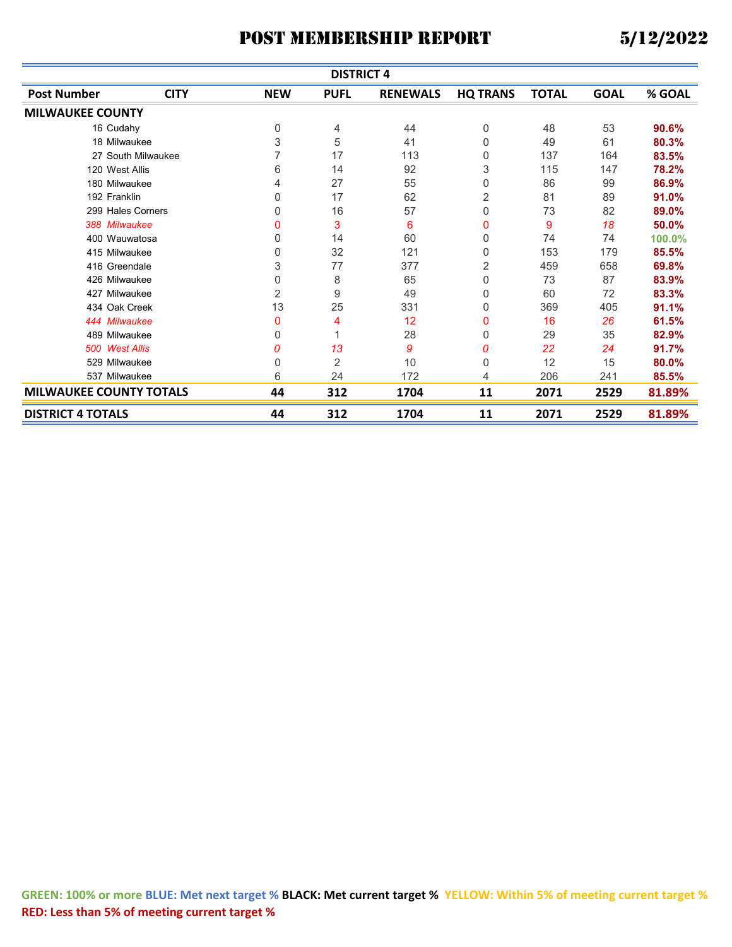|                                | <b>DISTRICT 4</b>  |            |             |                 |                 |              |             |        |  |  |  |
|--------------------------------|--------------------|------------|-------------|-----------------|-----------------|--------------|-------------|--------|--|--|--|
| <b>Post Number</b>             | <b>CITY</b>        | <b>NEW</b> | <b>PUFL</b> | <b>RENEWALS</b> | <b>HQ TRANS</b> | <b>TOTAL</b> | <b>GOAL</b> | % GOAL |  |  |  |
| <b>MILWAUKEE COUNTY</b>        |                    |            |             |                 |                 |              |             |        |  |  |  |
| 16 Cudahy                      |                    | 0          | 4           | 44              | 0               | 48           | 53          | 90.6%  |  |  |  |
| 18 Milwaukee                   |                    | 3          | 5           | 41              | 0               | 49           | 61          | 80.3%  |  |  |  |
|                                | 27 South Milwaukee | 7          | 17          | 113             | 0               | 137          | 164         | 83.5%  |  |  |  |
| 120 West Allis                 |                    | 6          | 14          | 92              | 3               | 115          | 147         | 78.2%  |  |  |  |
| 180 Milwaukee                  |                    | 4          | 27          | 55              | 0               | 86           | 99          | 86.9%  |  |  |  |
| 192 Franklin                   |                    | 0          | 17          | 62              | 2               | 81           | 89          | 91.0%  |  |  |  |
| 299 Hales Corners              |                    | 0          | 16          | 57              | 0               | 73           | 82          | 89.0%  |  |  |  |
| 388 Milwaukee                  |                    | 0          | 3           | 6               | 0               | 9            | 18          | 50.0%  |  |  |  |
| 400 Wauwatosa                  |                    | 0          | 14          | 60              | 0               | 74           | 74          | 100.0% |  |  |  |
| 415 Milwaukee                  |                    | 0          | 32          | 121             | 0               | 153          | 179         | 85.5%  |  |  |  |
| 416 Greendale                  |                    | 3          | 77          | 377             | 2               | 459          | 658         | 69.8%  |  |  |  |
| 426 Milwaukee                  |                    | 0          | 8           | 65              | 0               | 73           | 87          | 83.9%  |  |  |  |
| 427 Milwaukee                  |                    | 2          | 9           | 49              | 0               | 60           | 72          | 83.3%  |  |  |  |
| 434 Oak Creek                  |                    | 13         | 25          | 331             | 0               | 369          | 405         | 91.1%  |  |  |  |
| 444 Milwaukee                  |                    | 0          | 4           | 12              | 0               | 16           | 26          | 61.5%  |  |  |  |
| 489 Milwaukee                  |                    | 0          |             | 28              | 0               | 29           | 35          | 82.9%  |  |  |  |
| 500 West Allis                 |                    | 0          | 13          | 9               | 0               | 22           | 24          | 91.7%  |  |  |  |
| 529 Milwaukee                  |                    | 0          | 2           | 10              | 0               | 12           | 15          | 80.0%  |  |  |  |
| 537 Milwaukee                  |                    | 6          | 24          | 172             | 4               | 206          | 241         | 85.5%  |  |  |  |
| <b>MILWAUKEE COUNTY TOTALS</b> |                    | 44         | 312         | 1704            | 11              | 2071         | 2529        | 81.89% |  |  |  |
| <b>DISTRICT 4 TOTALS</b>       |                    | 44         | 312         | 1704            | 11              | 2071         | 2529        | 81.89% |  |  |  |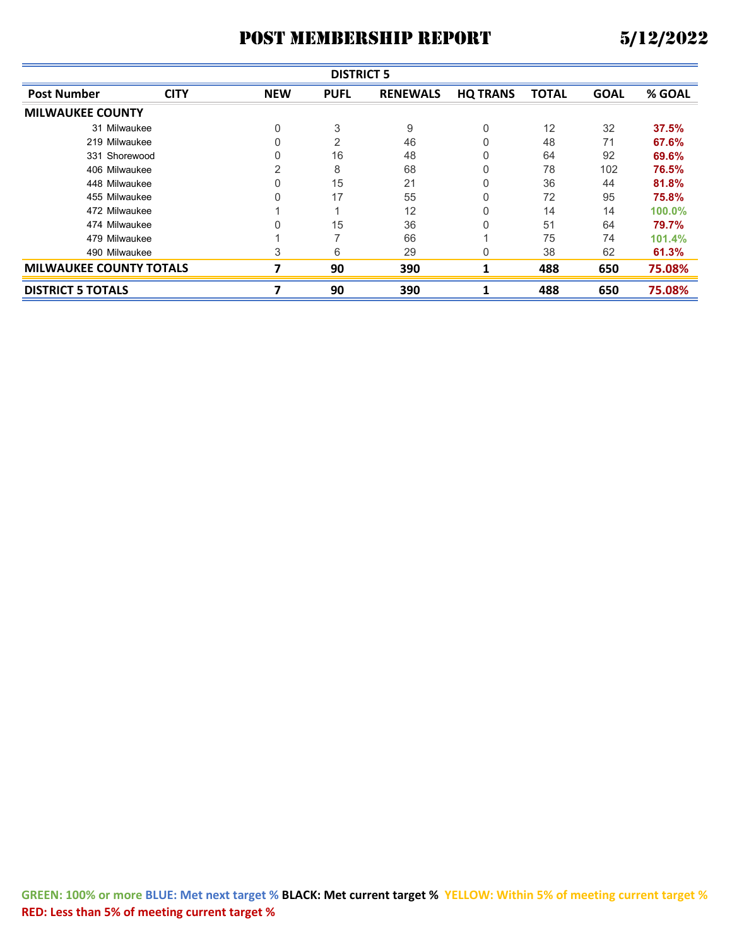|                                | <b>DISTRICT 5</b> |            |                |                 |                 |              |             |        |  |  |
|--------------------------------|-------------------|------------|----------------|-----------------|-----------------|--------------|-------------|--------|--|--|
| <b>Post Number</b>             | <b>CITY</b>       | <b>NEW</b> | <b>PUFL</b>    | <b>RENEWALS</b> | <b>HQ TRANS</b> | <b>TOTAL</b> | <b>GOAL</b> | % GOAL |  |  |
| <b>MILWAUKEE COUNTY</b>        |                   |            |                |                 |                 |              |             |        |  |  |
| 31 Milwaukee                   |                   | 0          | 3              | 9               | 0               | 12           | 32          | 37.5%  |  |  |
| 219 Milwaukee                  |                   |            | $\overline{2}$ | 46              |                 | 48           | 71          | 67.6%  |  |  |
| 331 Shorewood                  |                   | 0          | 16             | 48              | 0               | 64           | 92          | 69.6%  |  |  |
| 406 Milwaukee                  |                   | 2          | 8              | 68              | 0               | 78           | 102         | 76.5%  |  |  |
| 448 Milwaukee                  |                   | 0          | 15             | 21              | 0               | 36           | 44          | 81.8%  |  |  |
| 455 Milwaukee                  |                   | 0          | 17             | 55              | 0               | 72           | 95          | 75.8%  |  |  |
| 472 Milwaukee                  |                   |            |                | 12              |                 | 14           | 14          | 100.0% |  |  |
| 474 Milwaukee                  |                   |            | 15             | 36              | 0               | 51           | 64          | 79.7%  |  |  |
| 479 Milwaukee                  |                   |            |                | 66              |                 | 75           | 74          | 101.4% |  |  |
| 490 Milwaukee                  |                   | 3          | 6              | 29              | 0               | 38           | 62          | 61.3%  |  |  |
| <b>MILWAUKEE COUNTY TOTALS</b> |                   | 7          | 90             | 390             |                 | 488          | 650         | 75.08% |  |  |
| <b>DISTRICT 5 TOTALS</b>       |                   |            | 90             | 390             |                 | 488          | 650         | 75.08% |  |  |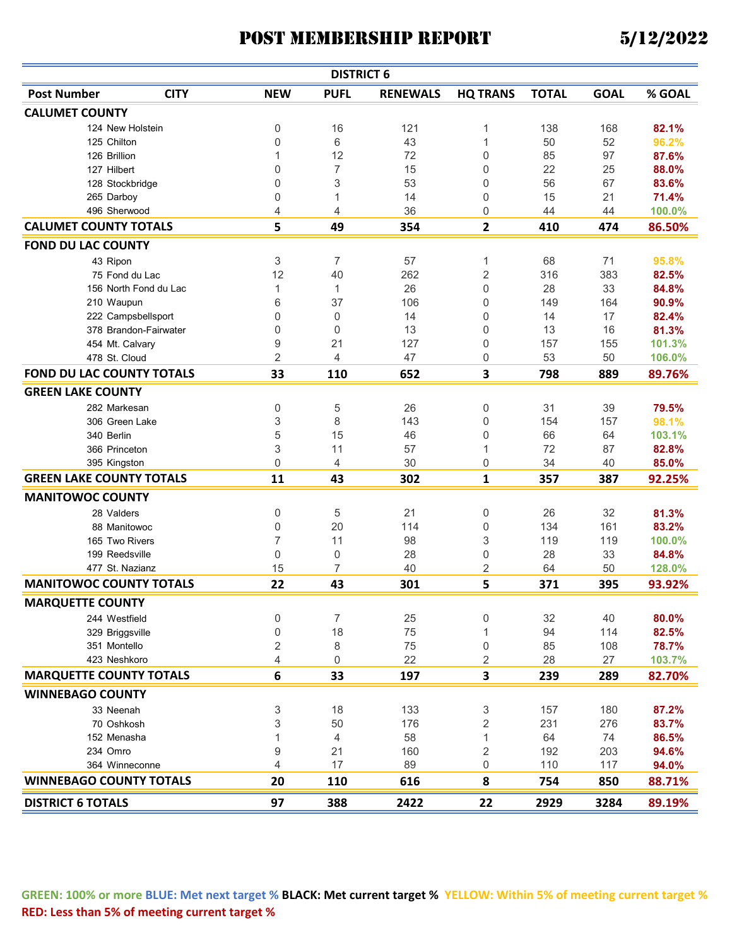|                                  |                       |                | <b>DISTRICT 6</b> |                 |                 |              |             |        |
|----------------------------------|-----------------------|----------------|-------------------|-----------------|-----------------|--------------|-------------|--------|
| <b>Post Number</b>               | <b>CITY</b>           | <b>NEW</b>     | <b>PUFL</b>       | <b>RENEWALS</b> | <b>HQ TRANS</b> | <b>TOTAL</b> | <b>GOAL</b> | % GOAL |
| <b>CALUMET COUNTY</b>            |                       |                |                   |                 |                 |              |             |        |
|                                  | 124 New Holstein      | 0              | 16                | 121             | 1               | 138          | 168         | 82.1%  |
| 125 Chilton                      |                       | 0              | 6                 | 43              | 1               | 50           | 52          | 96.2%  |
| 126 Brillion                     |                       | 1              | 12                | 72              | 0               | 85           | 97          | 87.6%  |
| 127 Hilbert                      |                       | 0              | 7                 | 15              | 0               | 22           | 25          | 88.0%  |
| 128 Stockbridge                  |                       | 0              | 3                 | 53              | 0               | 56           | 67          | 83.6%  |
| 265 Darboy                       |                       | 0              | 1                 | 14              | 0               | 15           | 21          | 71.4%  |
| 496 Sherwood                     |                       | 4              | 4                 | 36              | 0               | 44           | 44          | 100.0% |
| <b>CALUMET COUNTY TOTALS</b>     |                       | 5              | 49                | 354             | 2               | 410          | 474         | 86.50% |
| <b>FOND DU LAC COUNTY</b>        |                       |                |                   |                 |                 |              |             |        |
| 43 Ripon                         |                       | 3              | $\overline{7}$    | 57              | 1               | 68           | 71          | 95.8%  |
|                                  | 75 Fond du Lac        | 12             | 40                | 262             | $\overline{2}$  | 316          | 383         | 82.5%  |
|                                  | 156 North Fond du Lac | 1              | 1                 | 26              | 0               | 28           | 33          | 84.8%  |
| 210 Waupun                       |                       | 6              | 37                | 106             | 0               | 149          | 164         | 90.9%  |
|                                  | 222 Campsbellsport    | 0              | $\mathbf 0$       | 14              | 0               | 14           | 17          | 82.4%  |
|                                  | 378 Brandon-Fairwater | 0              | $\Omega$          | 13              | 0               | 13           | 16          | 81.3%  |
| 454 Mt. Calvary                  |                       | 9              | 21                | 127             | 0               | 157          | 155         | 101.3% |
| 478 St. Cloud                    |                       | $\overline{2}$ | 4                 | 47              | 0               | 53           | 50          | 106.0% |
| <b>FOND DU LAC COUNTY TOTALS</b> |                       | 33             | 110               | 652             | 3               | 798          | 889         | 89.76% |
| <b>GREEN LAKE COUNTY</b>         |                       |                |                   |                 |                 |              |             |        |
| 282 Markesan                     |                       | 0              | 5                 | 26              | 0               | 31           | 39          | 79.5%  |
|                                  | 306 Green Lake        | 3              | 8                 | 143             | 0               | 154          | 157         | 98.1%  |
| 340 Berlin                       |                       | 5              | 15                | 46              | 0               | 66           | 64          | 103.1% |
| 366 Princeton                    |                       | 3              | 11                | 57              | 1               | 72           | 87          | 82.8%  |
| 395 Kingston                     |                       | $\mathbf 0$    | 4                 | 30              | 0               | 34           | 40          | 85.0%  |
| <b>GREEN LAKE COUNTY TOTALS</b>  |                       | 11             | 43                | 302             | 1               | 357          | 387         | 92.25% |
| <b>MANITOWOC COUNTY</b>          |                       |                |                   |                 |                 |              |             |        |
| 28 Valders                       |                       | 0              | 5                 | 21              | 0               | 26           | 32          | 81.3%  |
|                                  | 88 Manitowoc          | 0              | 20                | 114             | 0               | 134          | 161         | 83.2%  |
| 165 Two Rivers                   |                       | 7              | 11                | 98              | 3               | 119          | 119         | 100.0% |
| 199 Reedsville                   |                       | 0              | 0                 | 28              | 0               | 28           | 33          | 84.8%  |
| 477 St. Nazianz                  |                       | 15             | 7                 | 40              | 2               | 64           | 50          | 128.0% |
| <b>MANITOWOC COUNTY TOTALS</b>   |                       | 22             | 43                | 301             | 5               | 371          | 395         | 93.92% |
| <b>MARQUETTE COUNTY</b>          |                       |                |                   |                 |                 |              |             |        |
| 244 Westfield                    |                       | 0              | $\overline{7}$    | 25              | 0               | 32           | 40          | 80.0%  |
| 329 Briggsville                  |                       | 0              | 18                | 75              |                 | 94           | 114         | 82.5%  |
| 351 Montello                     |                       | 2              | 8                 | 75              | 0               | 85           | 108         | 78.7%  |
| 423 Neshkoro                     |                       | 4              | 0                 | 22              | 2               | 28           | 27          | 103.7% |
| <b>MARQUETTE COUNTY TOTALS</b>   |                       | $\bf 6$        | 33                | 197             | 3               | 239          | 289         | 82.70% |
| <b>WINNEBAGO COUNTY</b>          |                       |                |                   |                 |                 |              |             |        |
| 33 Neenah                        |                       | 3              | 18                | 133             | 3               | 157          | 180         | 87.2%  |
| 70 Oshkosh                       |                       | 3              | 50                | 176             | $\overline{2}$  | 231          | 276         | 83.7%  |
| 152 Menasha                      |                       | 1              | 4                 | 58              | 1               | 64           | 74          | 86.5%  |
| 234 Omro                         |                       | 9              | 21                | 160             | 2               | 192          | 203         | 94.6%  |
|                                  | 364 Winneconne        | $\overline{4}$ | 17                | 89              | 0               | 110          | 117         | 94.0%  |
| <b>WINNEBAGO COUNTY TOTALS</b>   |                       | 20             | 110               | 616             | 8               | 754          | 850         | 88.71% |
|                                  |                       |                |                   |                 |                 |              |             |        |
| <b>DISTRICT 6 TOTALS</b>         |                       | 97             | 388               | 2422            | 22              | 2929         | 3284        | 89.19% |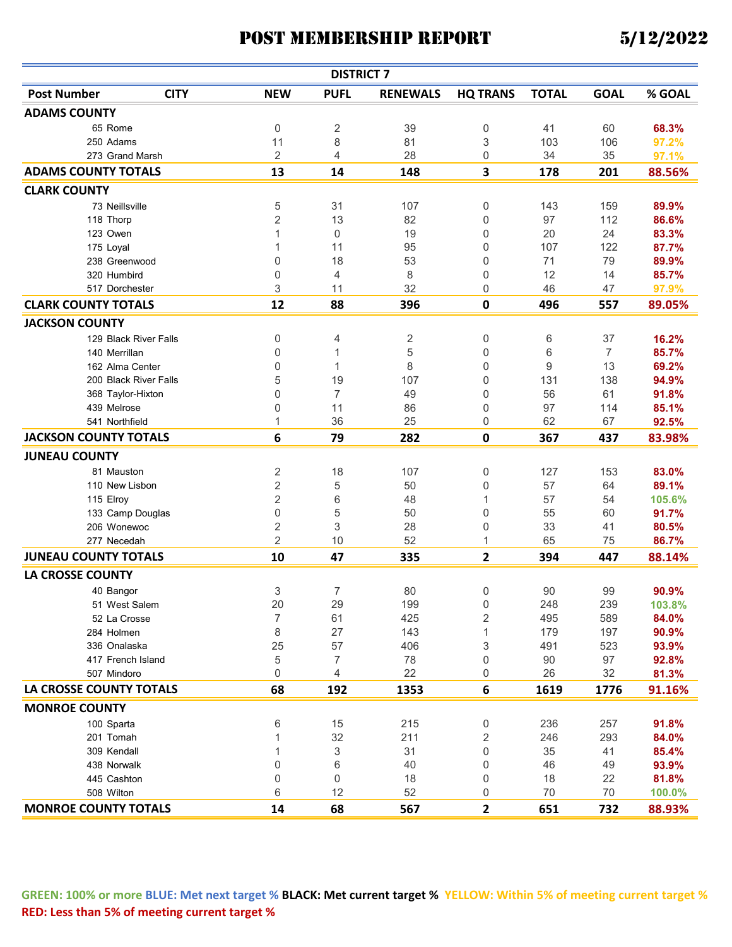|                                |             |                | <b>DISTRICT 7</b> |                 |                         |              |                |        |
|--------------------------------|-------------|----------------|-------------------|-----------------|-------------------------|--------------|----------------|--------|
| <b>Post Number</b>             | <b>CITY</b> | <b>NEW</b>     | <b>PUFL</b>       | <b>RENEWALS</b> | <b>HQ TRANS</b>         | <b>TOTAL</b> | <b>GOAL</b>    | % GOAL |
| <b>ADAMS COUNTY</b>            |             |                |                   |                 |                         |              |                |        |
| 65 Rome                        |             | 0              | 2                 | 39              | 0                       | 41           | 60             | 68.3%  |
| 250 Adams                      |             | 11             | 8                 | 81              | 3                       | 103          | 106            | 97.2%  |
| 273 Grand Marsh                |             | 2              | 4                 | 28              | 0                       | 34           | 35             | 97.1%  |
| <b>ADAMS COUNTY TOTALS</b>     |             | 13             | 14                | 148             | 3                       | 178          | 201            | 88.56% |
| <b>CLARK COUNTY</b>            |             |                |                   |                 |                         |              |                |        |
| 73 Neillsville                 |             | 5              | 31                | 107             | 0                       | 143          | 159            | 89.9%  |
| 118 Thorp                      |             | 2              | 13                | 82              | 0                       | 97           | 112            | 86.6%  |
| 123 Owen                       |             | 1              | 0                 | 19              | 0                       | 20           | 24             | 83.3%  |
| 175 Loyal                      |             | 1              | 11                | 95              | 0                       | 107          | 122            | 87.7%  |
| 238 Greenwood                  |             | 0              | 18                | 53              | 0                       | 71           | 79             | 89.9%  |
| 320 Humbird                    |             | 0              | 4                 | 8               | 0                       | 12           | 14             | 85.7%  |
| 517 Dorchester                 |             | 3              | 11                | 32              | 0                       | 46           | 47             | 97.9%  |
| <b>CLARK COUNTY TOTALS</b>     |             | 12             | 88                | 396             | 0                       | 496          | 557            | 89.05% |
| <b>JACKSON COUNTY</b>          |             |                |                   |                 |                         |              |                |        |
| 129 Black River Falls          |             | 0              | 4                 | 2               | 0                       | 6            | 37             | 16.2%  |
| 140 Merrillan                  |             | 0              | 1                 | 5               | 0                       | 6            | $\overline{7}$ | 85.7%  |
| 162 Alma Center                |             | 0              | 1                 | 8               | 0                       | 9            | 13             | 69.2%  |
| 200 Black River Falls          |             | 5              | 19                | 107             | 0                       | 131          | 138            | 94.9%  |
| 368 Taylor-Hixton              |             | 0              | 7                 | 49              | 0                       | 56           | 61             | 91.8%  |
| 439 Melrose                    |             | 0              | 11                | 86              | 0                       | 97           | 114            | 85.1%  |
| 541 Northfield                 |             | 1              | 36                | 25              | 0                       | 62           | 67             | 92.5%  |
| <b>JACKSON COUNTY TOTALS</b>   |             | 6              | 79                | 282             | $\mathbf 0$             | 367          | 437            | 83.98% |
| <b>JUNEAU COUNTY</b>           |             |                |                   |                 |                         |              |                |        |
| 81 Mauston                     |             | 2              | 18                | 107             | 0                       | 127          | 153            | 83.0%  |
| 110 New Lisbon                 |             | $\overline{c}$ | 5                 | 50              | 0                       | 57           | 64             | 89.1%  |
| 115 Elroy                      |             | $\overline{c}$ | 6                 | 48              | 1                       | 57           | 54             | 105.6% |
| 133 Camp Douglas               |             | 0              | 5                 | 50              | 0                       | 55           | 60             | 91.7%  |
| 206 Wonewoc                    |             | 2              | 3                 | 28              | 0                       | 33           | 41             | 80.5%  |
| 277 Necedah                    |             | $\overline{2}$ | 10                | 52              | 1                       | 65           | 75             | 86.7%  |
| <b>JUNEAU COUNTY TOTALS</b>    |             | 10             | 47                | 335             | $\overline{\mathbf{2}}$ | 394          | 447            | 88.14% |
| <b>LA CROSSE COUNTY</b>        |             |                |                   |                 |                         |              |                |        |
| 40 Bangor                      |             | 3              | $\overline{7}$    | 80              | 0                       | 90           | 99             | 90.9%  |
| 51 West Salem                  |             | 20             | 29                | 199             | 0                       | 248          | 239            | 103.8% |
| 52 La Crosse                   |             | 7              | 61                | 425             | 2                       | 495          | 589            | 84.0%  |
| 284 Holmen                     |             | 8              | 27                | 143             | 1                       | 179          | 197            | 90.9%  |
| 336 Onalaska                   |             | 25             | 57                | 406             | 3                       | 491          | 523            | 93.9%  |
| 417 French Island              |             | 5              | 7                 | 78              | 0                       | 90           | 97             | 92.8%  |
| 507 Mindoro                    |             | 0              | 4                 | 22              | 0                       | 26           | 32             | 81.3%  |
| <b>LA CROSSE COUNTY TOTALS</b> |             | 68             | 192               | 1353            | 6                       | 1619         | 1776           | 91.16% |
| <b>MONROE COUNTY</b>           |             |                |                   |                 |                         |              |                |        |
| 100 Sparta                     |             | 6              | 15                | 215             | 0                       | 236          | 257            | 91.8%  |
| 201 Tomah                      |             |                | 32                | 211             | 2                       | 246          | 293            | 84.0%  |
| 309 Kendall                    |             |                | 3                 | 31              | 0                       | 35           | 41             | 85.4%  |
| 438 Norwalk                    |             | 0              | 6                 | 40              | 0                       | 46           | 49             | 93.9%  |
| 445 Cashton                    |             | 0              | 0                 | 18              | 0                       | 18           | 22             | 81.8%  |
| 508 Wilton                     |             | 6              | 12                | 52              | 0                       | 70           | 70             | 100.0% |
| <b>MONROE COUNTY TOTALS</b>    |             | 14             | 68                | 567             | 2                       | 651          | 732            | 88.93% |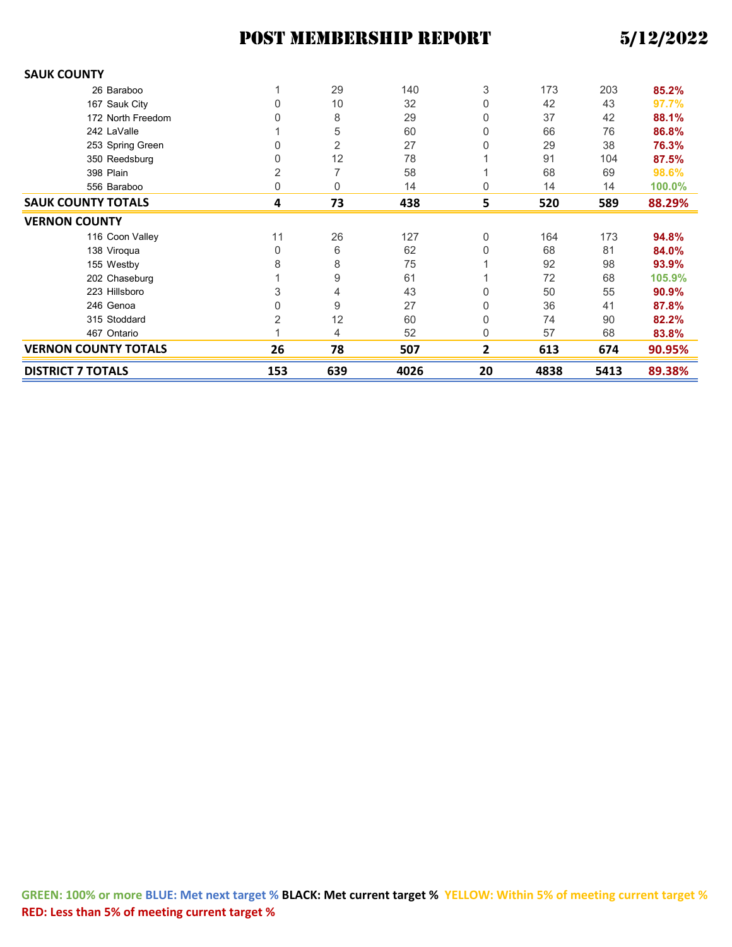| <b>SAUK COUNTY</b>          |                |                |      |          |      |      |        |
|-----------------------------|----------------|----------------|------|----------|------|------|--------|
| 26 Baraboo                  |                | 29             | 140  | 3        | 173  | 203  | 85.2%  |
| 167 Sauk City               | 0              | 10             | 32   | 0        | 42   | 43   | 97.7%  |
| 172 North Freedom           |                | 8              | 29   | 0        | 37   | 42   | 88.1%  |
| 242 LaValle                 |                | 5              | 60   | 0        | 66   | 76   | 86.8%  |
| 253 Spring Green            |                | $\overline{2}$ | 27   | 0        | 29   | 38   | 76.3%  |
| 350 Reedsburg               | 0              | 12             | 78   |          | 91   | 104  | 87.5%  |
| 398 Plain                   | 2              | $\overline{7}$ | 58   |          | 68   | 69   | 98.6%  |
| 556 Baraboo                 | 0              | 0              | 14   | 0        | 14   | 14   | 100.0% |
| <b>SAUK COUNTY TOTALS</b>   | 4              | 73             | 438  | 5        | 520  | 589  | 88.29% |
| <b>VERNON COUNTY</b>        |                |                |      |          |      |      |        |
| 116 Coon Valley             | 11             | 26             | 127  | $\Omega$ | 164  | 173  | 94.8%  |
| 138 Viroqua                 | 0              | 6              | 62   | 0        | 68   | 81   | 84.0%  |
| 155 Westby                  | 8              | 8              | 75   |          | 92   | 98   | 93.9%  |
| 202 Chaseburg               |                | 9              | 61   |          | 72   | 68   | 105.9% |
| 223 Hillsboro               | 3              | 4              | 43   | 0        | 50   | 55   | 90.9%  |
| 246 Genoa                   | 0              | 9              | 27   | 0        | 36   | 41   | 87.8%  |
| 315 Stoddard                | $\overline{2}$ | 12             | 60   | 0        | 74   | 90   | 82.2%  |
| 467 Ontario                 |                | 4              | 52   | 0        | 57   | 68   | 83.8%  |
| <b>VERNON COUNTY TOTALS</b> | 26             | 78             | 507  | 2        | 613  | 674  | 90.95% |
| <b>DISTRICT 7 TOTALS</b>    | 153            | 639            | 4026 | 20       | 4838 | 5413 | 89.38% |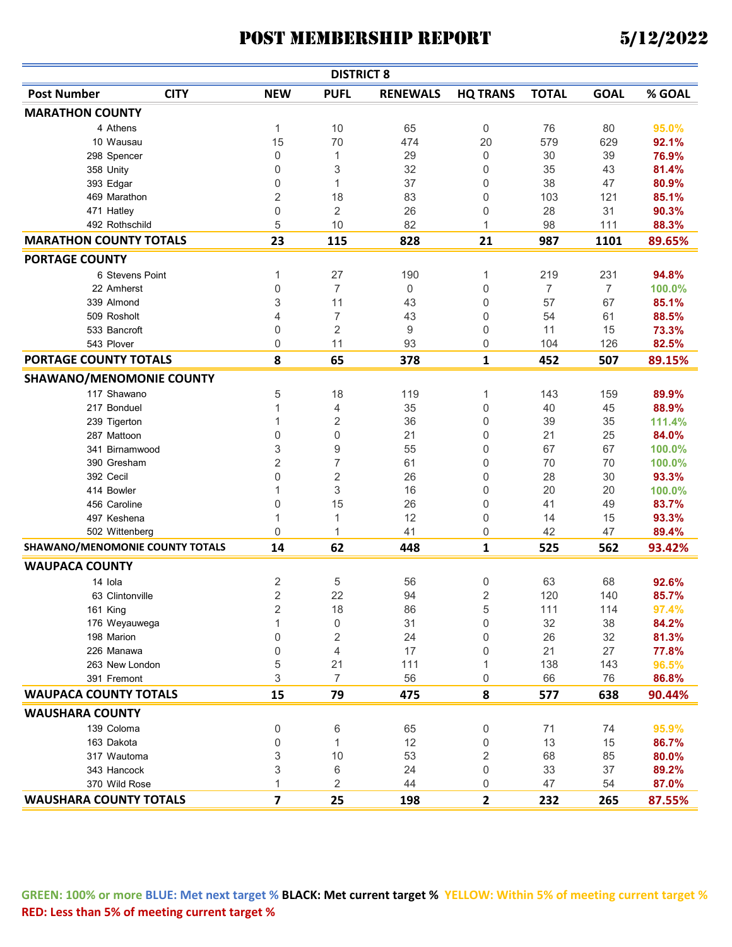|                                 |                                 |                         | <b>DISTRICT 8</b> |                 |                 |              |                |        |
|---------------------------------|---------------------------------|-------------------------|-------------------|-----------------|-----------------|--------------|----------------|--------|
| <b>Post Number</b>              | <b>CITY</b>                     | <b>NEW</b>              | <b>PUFL</b>       | <b>RENEWALS</b> | <b>HQ TRANS</b> | <b>TOTAL</b> | <b>GOAL</b>    | % GOAL |
| <b>MARATHON COUNTY</b>          |                                 |                         |                   |                 |                 |              |                |        |
| 4 Athens                        |                                 | 1                       | 10                | 65              | 0               | 76           | 80             | 95.0%  |
| 10 Wausau                       |                                 | 15                      | 70                | 474             | 20              | 579          | 629            | 92.1%  |
| 298 Spencer                     |                                 | 0                       | 1                 | 29              | 0               | 30           | 39             | 76.9%  |
| 358 Unity                       |                                 | 0                       | 3                 | 32              | 0               | 35           | 43             | 81.4%  |
| 393 Edgar                       |                                 | 0                       | 1                 | 37              | 0               | 38           | 47             | 80.9%  |
| 469 Marathon                    |                                 | $\sqrt{2}$              | 18                | 83              | 0               | 103          | 121            | 85.1%  |
| 471 Hatley                      |                                 | 0                       | $\overline{2}$    | 26              | 0               | 28           | 31             | 90.3%  |
| 492 Rothschild                  |                                 | 5                       | 10                | 82              | 1               | 98           | 111            | 88.3%  |
| <b>MARATHON COUNTY TOTALS</b>   |                                 | 23                      | 115               | 828             | 21              | 987          | 1101           | 89.65% |
| <b>PORTAGE COUNTY</b>           |                                 |                         |                   |                 |                 |              |                |        |
|                                 | 6 Stevens Point                 | 1                       | 27                | 190             | 1               | 219          | 231            | 94.8%  |
| 22 Amherst                      |                                 | 0                       | $\overline{7}$    | $\mathbf 0$     | 0               | 7            | $\overline{7}$ | 100.0% |
| 339 Almond                      |                                 | 3                       | 11                | 43              | 0               | 57           | 67             | 85.1%  |
| 509 Rosholt                     |                                 | 4                       | 7                 | 43              | 0               | 54           | 61             | 88.5%  |
| 533 Bancroft                    |                                 | 0                       | 2                 | 9               | 0               | 11           | 15             | 73.3%  |
| 543 Plover                      |                                 | 0                       | 11                | 93              | 0               | 104          | 126            | 82.5%  |
| PORTAGE COUNTY TOTALS           |                                 | 8                       | 65                | 378             | 1               | 452          | 507            | 89.15% |
| <b>SHAWANO/MENOMONIE COUNTY</b> |                                 |                         |                   |                 |                 |              |                |        |
| 117 Shawano                     |                                 | 5                       | 18                | 119             | 1               | 143          | 159            | 89.9%  |
| 217 Bonduel                     |                                 | 1                       | 4                 | 35              | 0               | 40           | 45             | 88.9%  |
| 239 Tigerton                    |                                 | 1                       | $\sqrt{2}$        | 36              | 0               | 39           | 35             | 111.4% |
| 287 Mattoon                     |                                 | 0                       | $\mathbf 0$       | 21              | 0               | 21           | 25             | 84.0%  |
|                                 | 341 Birnamwood                  | 3                       | 9                 | 55              | 0               | 67           | 67             | 100.0% |
| 390 Gresham                     |                                 | $\overline{2}$          | $\overline{7}$    | 61              | 0               | 70           | 70             | 100.0% |
| 392 Cecil                       |                                 | 0                       | $\sqrt{2}$        | 26              | 0               | 28           | 30             | 93.3%  |
| 414 Bowler                      |                                 | 1                       | 3                 | 16              | 0               | 20           | 20             | 100.0% |
| 456 Caroline                    |                                 | 0                       | 15                | 26              | 0               | 41           | 49             | 83.7%  |
| 497 Keshena                     |                                 | 1                       | 1                 | 12              | 0               | 14           | 15             | 93.3%  |
| 502 Wittenberg                  |                                 | $\mathbf 0$             | 1                 | 41              | 0               | 42           | 47             | 89.4%  |
|                                 | SHAWANO/MENOMONIE COUNTY TOTALS | 14                      | 62                | 448             | 1               | 525          | 562            | 93.42% |
| <b>WAUPACA COUNTY</b>           |                                 |                         |                   |                 |                 |              |                |        |
| 14 Iola                         |                                 | $\sqrt{2}$              | 5                 | 56              | 0               | 63           | 68             | 92.6%  |
|                                 | 63 Clintonville                 | $\overline{2}$          | 22                | 94              | 2               | 120          | 140            | 85.7%  |
| 161 King                        |                                 | 2                       | 18                | 86              | 5               | 111          | 114            | 97.4%  |
|                                 | 176 Weyauwega                   | $\mathbf{1}$            | $\mathbf 0$       | 31              | 0               | 32           | 38             | 84.2%  |
| 198 Marion                      |                                 | $\mathbf 0$             | $\sqrt{2}$        | 24              | 0               | 26           | 32             | 81.3%  |
| 226 Manawa                      |                                 | $\mathbf 0$             | $\overline{4}$    | 17              | 0               | 21           | 27             | 77.8%  |
|                                 | 263 New London                  | 5                       | 21                | 111             | 1               | 138          | 143            | 96.5%  |
| 391 Fremont                     |                                 | 3                       | $\overline{7}$    | 56              | 0               | 66           | 76             | 86.8%  |
| <b>WAUPACA COUNTY TOTALS</b>    |                                 | 15                      | 79                | 475             | 8               | 577          | 638            | 90.44% |
|                                 |                                 |                         |                   |                 |                 |              |                |        |
| <b>WAUSHARA COUNTY</b>          |                                 |                         |                   |                 |                 |              |                |        |
| 139 Coloma                      |                                 | $\boldsymbol{0}$        | $\,6$             | 65              | 0               | 71           | 74             | 95.9%  |
| 163 Dakota                      |                                 | $\mathbf 0$             | $\mathbf{1}$      | 12              | 0               | 13           | 15             | 86.7%  |
| 317 Wautoma                     |                                 | 3                       | 10                | 53              | 2               | 68           | 85             | 80.0%  |
| 343 Hancock                     |                                 | 3                       | 6                 | 24              | 0               | 33           | 37             | 89.2%  |
| 370 Wild Rose                   |                                 | $\mathbf{1}$            | 2                 | 44              | 0               | 47           | 54             | 87.0%  |
| <b>WAUSHARA COUNTY TOTALS</b>   |                                 | $\overline{\mathbf{z}}$ | 25                | 198             | $\overline{2}$  | 232          | 265            | 87.55% |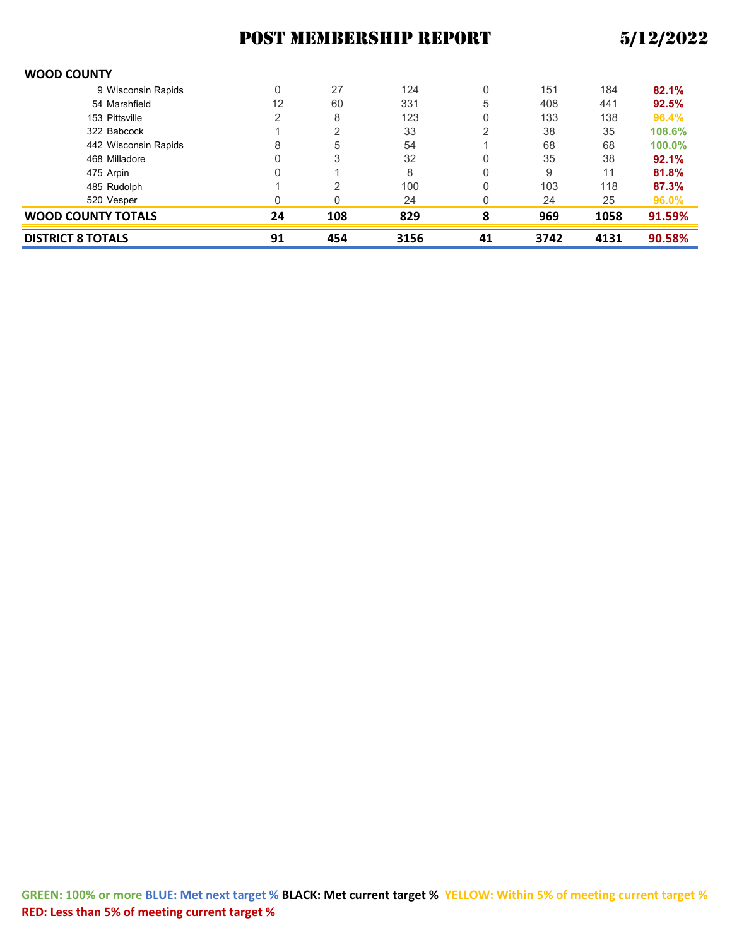#### **WOOD COUNTY**

| <b>DISTRICT 8 TOTALS</b> |                      | 91 | 454            | 3156 | 41 | 3742 | 4131 | 90.58% |
|--------------------------|----------------------|----|----------------|------|----|------|------|--------|
| WOOD COUNTY TOTALS       |                      | 24 | 108            | 829  | 8  | 969  | 1058 | 91.59% |
| 520 Vesper               |                      |    | 0              | 24   |    | 24   | 25   | 96.0%  |
| 485 Rudolph              |                      |    | 2              | 100  | 0  | 103  | 118  | 87.3%  |
| 475 Arpin                |                      |    |                | 8    | 0  | 9    | 11   | 81.8%  |
| 468 Milladore            |                      |    | 3              | 32   | 0  | 35   | 38   | 92.1%  |
|                          | 442 Wisconsin Rapids | 8  | 5              | 54   |    | 68   | 68   | 100.0% |
| 322 Babcock              |                      |    | $\overline{2}$ | 33   | ⌒  | 38   | 35   | 108.6% |
| 153 Pittsville           |                      |    | 8              | 123  |    | 133  | 138  | 96.4%  |
| 54 Marshfield            |                      | 12 | 60             | 331  | 5  | 408  | 441  | 92.5%  |
|                          | 9 Wisconsin Rapids   |    | 27             | 124  | 0  | 151  | 184  | 82.1%  |
|                          |                      |    |                |      |    |      |      |        |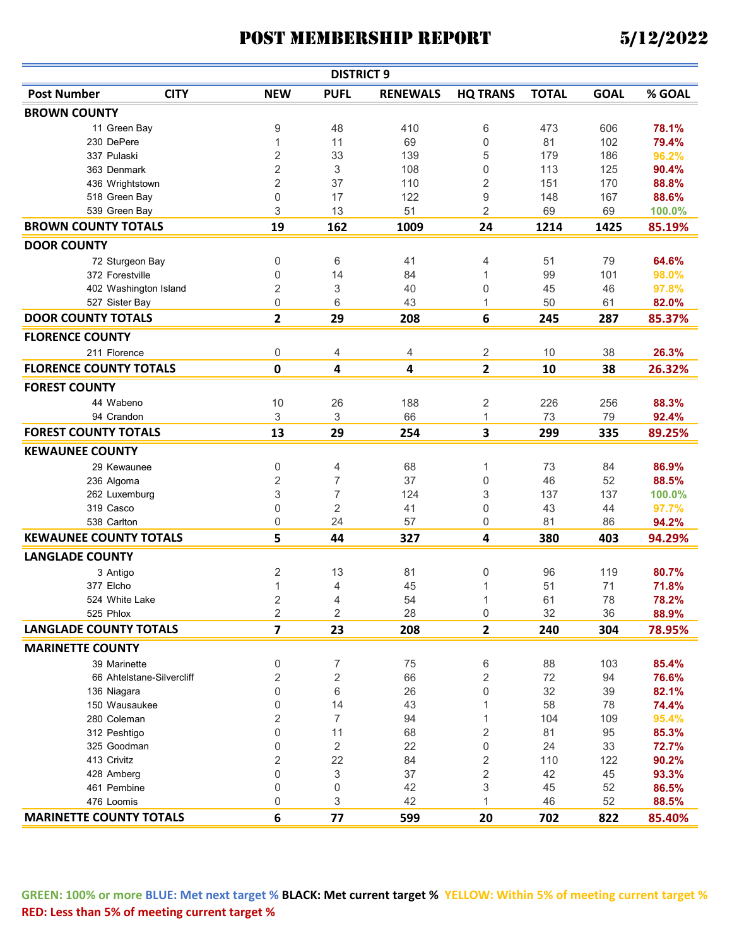| <b>DISTRICT 9</b>              |                           |                         |                |                 |                 |              |             |        |  |  |
|--------------------------------|---------------------------|-------------------------|----------------|-----------------|-----------------|--------------|-------------|--------|--|--|
| <b>Post Number</b>             | <b>CITY</b>               | <b>NEW</b>              | <b>PUFL</b>    | <b>RENEWALS</b> | <b>HQ TRANS</b> | <b>TOTAL</b> | <b>GOAL</b> | % GOAL |  |  |
| <b>BROWN COUNTY</b>            |                           |                         |                |                 |                 |              |             |        |  |  |
| 11 Green Bay                   |                           | 9                       | 48             | 410             | 6               | 473          | 606         | 78.1%  |  |  |
| 230 DePere                     |                           | 1                       | 11             | 69              | 0               | 81           | 102         | 79.4%  |  |  |
| 337 Pulaski                    |                           | $\overline{c}$          | 33             | 139             | 5               | 179          | 186         | 96.2%  |  |  |
| 363 Denmark                    |                           | $\overline{c}$          | 3              | 108             | 0               | 113          | 125         | 90.4%  |  |  |
| 436 Wrightstown                |                           | $\overline{c}$          | 37             | 110             | $\overline{2}$  | 151          | 170         | 88.8%  |  |  |
| 518 Green Bay                  |                           | 0                       | 17             | 122             | 9               | 148          | 167         | 88.6%  |  |  |
| 539 Green Bay                  |                           | 3                       | 13             | 51              | $\overline{2}$  | 69           | 69          | 100.0% |  |  |
| <b>BROWN COUNTY TOTALS</b>     |                           | 19                      | 162            | 1009            | 24              | 1214         | 1425        | 85.19% |  |  |
| <b>DOOR COUNTY</b>             |                           |                         |                |                 |                 |              |             |        |  |  |
|                                | 72 Sturgeon Bay           | 0                       | 6              | 41              | 4               | 51           | 79          | 64.6%  |  |  |
| 372 Forestville                |                           | 0                       | 14             | 84              | 1               | 99           | 101         | 98.0%  |  |  |
|                                | 402 Washington Island     | $\overline{c}$          | 3              | 40              | 0               | 45           | 46          | 97.8%  |  |  |
| 527 Sister Bay                 |                           | 0                       | 6              | 43              | 1               | 50           | 61          | 82.0%  |  |  |
| <b>DOOR COUNTY TOTALS</b>      |                           | $\overline{2}$          | 29             | 208             | 6               | 245          | 287         | 85.37% |  |  |
| <b>FLORENCE COUNTY</b>         |                           |                         |                |                 |                 |              |             |        |  |  |
| 211 Florence                   |                           | 0                       | 4              | 4               | 2               | 10           | 38          | 26.3%  |  |  |
| <b>FLORENCE COUNTY TOTALS</b>  |                           | $\mathbf 0$             | 4              | 4               | $\overline{2}$  | 10           | 38          | 26.32% |  |  |
| <b>FOREST COUNTY</b>           |                           |                         |                |                 |                 |              |             |        |  |  |
| 44 Wabeno                      |                           | 10                      | 26             | 188             | 2               | 226          | 256         | 88.3%  |  |  |
| 94 Crandon                     |                           | 3                       | 3              | 66              | $\mathbf{1}$    | 73           | 79          | 92.4%  |  |  |
| <b>FOREST COUNTY TOTALS</b>    |                           | 13                      | 29             | 254             | 3               | 299          | 335         | 89.25% |  |  |
| <b>KEWAUNEE COUNTY</b>         |                           |                         |                |                 |                 |              |             |        |  |  |
| 29 Kewaunee                    |                           | 0                       | 4              | 68              | 1               | 73           | 84          | 86.9%  |  |  |
| 236 Algoma                     |                           | 2                       | 7              | 37              | 0               | 46           | 52          | 88.5%  |  |  |
| 262 Luxemburg                  |                           | 3                       | $\overline{7}$ | 124             | 3               | 137          | 137         | 100.0% |  |  |
| 319 Casco                      |                           | 0                       | 2              | 41              | 0               | 43           | 44          | 97.7%  |  |  |
| 538 Carlton                    |                           | 0                       | 24             | 57              | 0               | 81           | 86          | 94.2%  |  |  |
| <b>KEWAUNEE COUNTY TOTALS</b>  |                           | 5                       | 44             | 327             | 4               | 380          | 403         | 94.29% |  |  |
|                                |                           |                         |                |                 |                 |              |             |        |  |  |
| <b>LANGLADE COUNTY</b>         |                           |                         |                |                 |                 |              |             |        |  |  |
| 3 Antigo                       |                           | $\sqrt{2}$              | 13             | 81              | 0               | 96           | 119         | 80.7%  |  |  |
| 377 Elcho                      |                           | 1                       | 4              | 45              | 1               | 51           | 71          | 71.8%  |  |  |
| 524 White Lake                 |                           | 2                       | 4              | 54              | 1               | 61           | 78          | 78.2%  |  |  |
| 525 Phlox                      |                           | $\overline{2}$          | $\overline{2}$ | 28              | 0               | 32           | 36          | 88.9%  |  |  |
| <b>LANGLADE COUNTY TOTALS</b>  |                           | $\overline{\mathbf{z}}$ | 23             | 208             | $\overline{2}$  | 240          | 304         | 78.95% |  |  |
| <b>MARINETTE COUNTY</b>        |                           |                         |                |                 |                 |              |             |        |  |  |
| 39 Marinette                   |                           | 0                       | 7              | 75              | 6               | 88           | 103         | 85.4%  |  |  |
|                                | 66 Ahtelstane-Silvercliff | $\sqrt{2}$              | 2              | 66              | 2               | 72           | 94          | 76.6%  |  |  |
| 136 Niagara                    |                           | 0                       | 6              | 26              | 0               | 32           | 39          | 82.1%  |  |  |
| 150 Wausaukee                  |                           | 0                       | 14             | 43              | 1               | 58           | 78          | 74.4%  |  |  |
| 280 Coleman                    |                           | 2                       | $\overline{7}$ | 94              | 1               | 104          | 109         | 95.4%  |  |  |
| 312 Peshtigo                   |                           | 0                       | 11             | 68              | 2               | 81           | 95          | 85.3%  |  |  |
| 325 Goodman                    |                           | 0                       | 2              | 22              | 0               | 24           | 33          | 72.7%  |  |  |
| 413 Crivitz                    |                           | 2                       | 22             | 84              | 2               | 110          | 122         | 90.2%  |  |  |
| 428 Amberg                     |                           | 0                       | 3              | 37              | $\overline{2}$  | 42           | 45          | 93.3%  |  |  |
| 461 Pembine                    |                           | 0                       | 0              | 42              | 3               | 45           | 52          | 86.5%  |  |  |
| 476 Loomis                     |                           | 0                       | 3              | 42              | 1               | 46           | 52          | 88.5%  |  |  |
| <b>MARINETTE COUNTY TOTALS</b> |                           | $\bf 6$                 | 77             | 599             | 20              | 702          | 822         | 85.40% |  |  |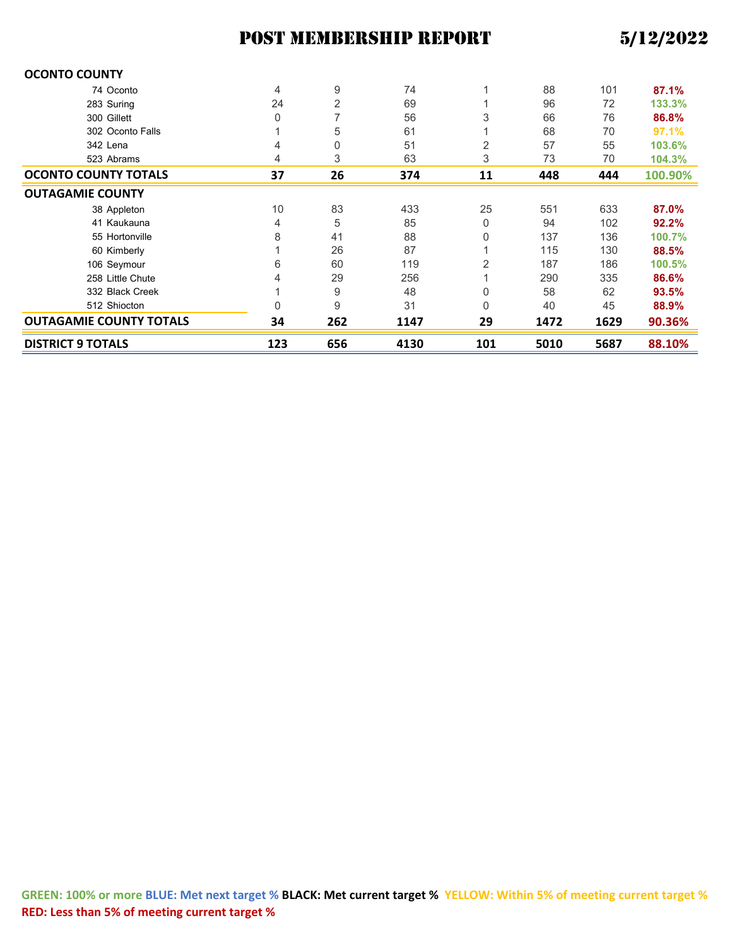| <b>OCONTO COUNTY</b>           |     |     |      |     |      |      |         |
|--------------------------------|-----|-----|------|-----|------|------|---------|
| 74 Oconto                      | 4   | 9   | 74   |     | 88   | 101  | 87.1%   |
| 283 Suring                     | 24  | 2   | 69   |     | 96   | 72   | 133.3%  |
| 300 Gillett                    | 0   | 7   | 56   | 3   | 66   | 76   | 86.8%   |
| 302 Oconto Falls               |     | 5   | 61   |     | 68   | 70   | 97.1%   |
| 342 Lena                       | 4   | 0   | 51   | 2   | 57   | 55   | 103.6%  |
| 523 Abrams                     | 4   | 3   | 63   | 3   | 73   | 70   | 104.3%  |
| <b>OCONTO COUNTY TOTALS</b>    | 37  | 26  | 374  | 11  | 448  | 444  | 100.90% |
| <b>OUTAGAMIE COUNTY</b>        |     |     |      |     |      |      |         |
| 38 Appleton                    | 10  | 83  | 433  | 25  | 551  | 633  | 87.0%   |
| 41 Kaukauna                    | 4   | 5   | 85   | 0   | 94   | 102  | 92.2%   |
| 55 Hortonville                 | 8   | 41  | 88   | 0   | 137  | 136  | 100.7%  |
| 60 Kimberly                    |     | 26  | 87   |     | 115  | 130  | 88.5%   |
| 106 Seymour                    | 6   | 60  | 119  | 2   | 187  | 186  | 100.5%  |
| 258 Little Chute               | 4   | 29  | 256  |     | 290  | 335  | 86.6%   |
| 332 Black Creek                |     | 9   | 48   | 0   | 58   | 62   | 93.5%   |
| 512 Shiocton                   | 0   | 9   | 31   | 0   | 40   | 45   | 88.9%   |
| <b>OUTAGAMIE COUNTY TOTALS</b> | 34  | 262 | 1147 | 29  | 1472 | 1629 | 90.36%  |
| <b>DISTRICT 9 TOTALS</b>       | 123 | 656 | 4130 | 101 | 5010 | 5687 | 88.10%  |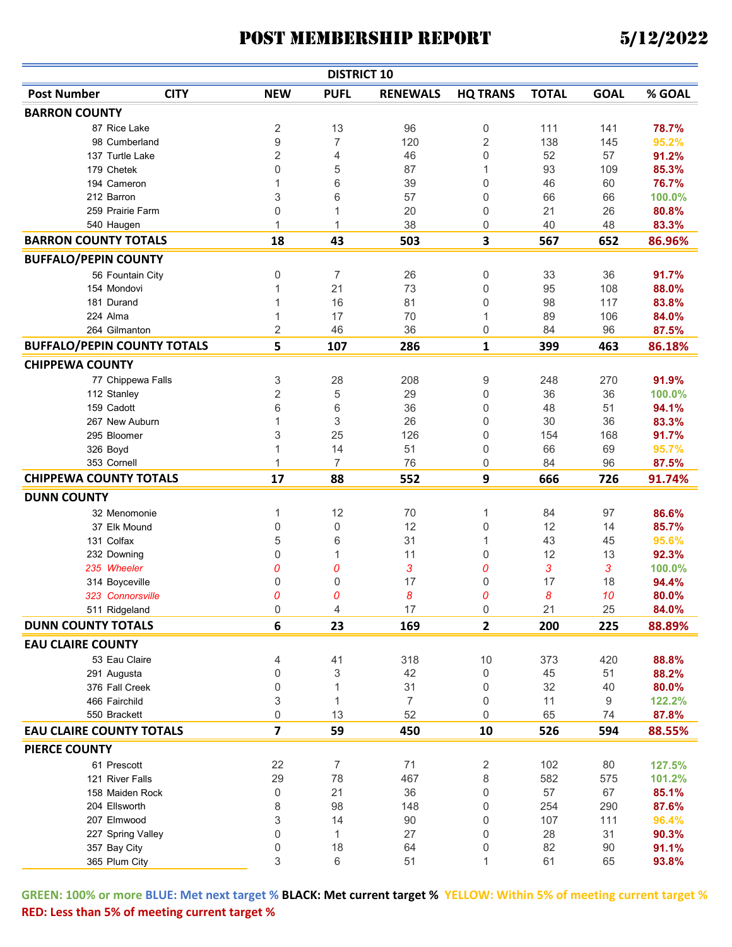| <b>DISTRICT 10</b>                 |                   |                         |                  |                 |                 |              |             |                  |  |  |
|------------------------------------|-------------------|-------------------------|------------------|-----------------|-----------------|--------------|-------------|------------------|--|--|
| <b>Post Number</b>                 | <b>CITY</b>       | <b>NEW</b>              | <b>PUFL</b>      | <b>RENEWALS</b> | <b>HQ TRANS</b> | <b>TOTAL</b> | <b>GOAL</b> | % GOAL           |  |  |
| <b>BARRON COUNTY</b>               |                   |                         |                  |                 |                 |              |             |                  |  |  |
| 87 Rice Lake                       |                   | $\sqrt{2}$              | 13               | 96              | 0               | 111          | 141         | 78.7%            |  |  |
|                                    | 98 Cumberland     | $\boldsymbol{9}$        | $\overline{7}$   | 120             | $\overline{2}$  | 138          | 145         | 95.2%            |  |  |
| 137 Turtle Lake                    |                   | $\sqrt{2}$              | 4                | 46              | 0               | 52           | 57          | 91.2%            |  |  |
| 179 Chetek                         |                   | $\mathbf 0$             | 5                | 87              | 1               | 93           | 109         | 85.3%            |  |  |
| 194 Cameron                        |                   | 1                       | 6                | 39              | 0               | 46           | 60          | 76.7%            |  |  |
| 212 Barron                         |                   | 3                       | 6                | 57              | 0               | 66           | 66          | 100.0%           |  |  |
| 259 Prairie Farm                   |                   | 0                       |                  | 20              | 0               | 21           | 26          | 80.8%            |  |  |
| 540 Haugen                         |                   | 1                       | 1                | 38              | 0               | 40           | 48          | 83.3%            |  |  |
| <b>BARRON COUNTY TOTALS</b>        |                   | 18                      | 43               | 503             | 3               | 567          | 652         | 86.96%           |  |  |
| <b>BUFFALO/PEPIN COUNTY</b>        |                   |                         |                  |                 |                 |              |             |                  |  |  |
|                                    | 56 Fountain City  | 0                       | 7                | 26              | 0               | 33           | 36          | 91.7%            |  |  |
| 154 Mondovi                        |                   | 1                       | 21               | 73              | 0               | 95           | 108         | 88.0%            |  |  |
| 181 Durand                         |                   | 1                       | 16               | 81              | 0               | 98           | 117         | 83.8%            |  |  |
| 224 Alma                           |                   | 1                       | 17               | 70              | 1               | 89           | 106         | 84.0%            |  |  |
| 264 Gilmanton                      |                   | 2                       | 46               | 36              | 0               | 84           | 96          | 87.5%            |  |  |
| <b>BUFFALO/PEPIN COUNTY TOTALS</b> |                   | 5                       | 107              | 286             | 1               | 399          | 463         | 86.18%           |  |  |
| <b>CHIPPEWA COUNTY</b>             |                   |                         |                  |                 |                 |              |             |                  |  |  |
|                                    | 77 Chippewa Falls | 3                       | 28               | 208             | 9               | 248          | 270         | 91.9%            |  |  |
| 112 Stanley                        |                   | $\overline{2}$          | 5                | 29              | 0               | 36           | 36          | 100.0%           |  |  |
| 159 Cadott                         |                   | 6                       | 6                | 36              | 0               | 48           | 51          | 94.1%            |  |  |
| 267 New Auburn                     |                   | $\mathbf{1}$            | 3                | 26              | 0               | 30           | 36          | 83.3%            |  |  |
| 295 Bloomer                        |                   | 3                       | 25               | 126             | 0               | 154          | 168         | 91.7%            |  |  |
| 326 Boyd                           |                   | 1                       | 14               | 51              | 0               | 66           | 69          | 95.7%            |  |  |
| 353 Cornell                        |                   | $\mathbf{1}$            | $\overline{7}$   | 76              | 0               | 84           | 96          | 87.5%            |  |  |
| <b>CHIPPEWA COUNTY TOTALS</b>      |                   | 17                      | 88               | 552             | 9               | 666          | 726         | 91.74%           |  |  |
| <b>DUNN COUNTY</b>                 |                   |                         |                  |                 |                 |              |             |                  |  |  |
| 32 Menomonie                       |                   | 1                       | 12               | 70              | 1               | 84           | 97          | 86.6%            |  |  |
| 37 Elk Mound                       |                   | 0                       | $\boldsymbol{0}$ | 12              | 0               | 12           | 14          | 85.7%            |  |  |
| 131 Colfax                         |                   | 5                       | 6                | 31              | 1               | 43           | 45          | 95.6%            |  |  |
| 232 Downing                        |                   | 0                       | 1                | 11              | 0               | 12           | 13          | 92.3%            |  |  |
| 235 Wheeler                        |                   | 0                       | 0                | 3               | 0               | 3            | 3           | 100.0%           |  |  |
| 314 Boyceville                     |                   | 0                       | $\Omega$         | 17              | 0               | 17           | 18          | 94.4%            |  |  |
| 323 Connorsville                   |                   | 0                       | 0                | 8               | 0               | 8            | 10          | 80.0%            |  |  |
| 511 Ridgeland                      |                   | $\cup$                  | 4                | 17              | 0               | 21           | 25          | 84.0%            |  |  |
| <b>DUNN COUNTY TOTALS</b>          |                   | 6                       | 23               | 169             | $\overline{2}$  | 200          | 225         | 88.89%           |  |  |
| <b>EAU CLAIRE COUNTY</b>           |                   |                         |                  |                 |                 |              |             |                  |  |  |
| 53 Eau Claire                      |                   | 4                       | 41               | 318             | 10              | 373          | 420         | 88.8%            |  |  |
| 291 Augusta                        |                   | $\boldsymbol{0}$        | 3                | 42              | 0               | 45           | 51          | 88.2%            |  |  |
| 376 Fall Creek                     |                   | $\boldsymbol{0}$        | 1                | 31              | 0               | 32           | 40          | 80.0%            |  |  |
| 466 Fairchild                      |                   | 3                       | $\mathbf{1}$     | $\overline{7}$  | 0               | 11           | 9           | 122.2%           |  |  |
| 550 Brackett                       |                   | 0                       | 13               | 52              | 0               | 65           | 74          | 87.8%            |  |  |
| <b>EAU CLAIRE COUNTY TOTALS</b>    |                   | $\overline{\mathbf{z}}$ | 59               | 450             | 10              | 526          | 594         | 88.55%           |  |  |
| <b>PIERCE COUNTY</b>               |                   |                         |                  |                 |                 |              |             |                  |  |  |
| 61 Prescott                        |                   |                         | $\overline{7}$   |                 |                 |              |             |                  |  |  |
| 121 River Falls                    |                   | 22<br>29                | 78               | 71<br>467       | 2<br>8          | 102<br>582   | 80<br>575   | 127.5%<br>101.2% |  |  |
|                                    | 158 Maiden Rock   | 0                       | 21               | 36              | 0               | 57           | 67          | 85.1%            |  |  |
| 204 Ellsworth                      |                   | 8                       | 98               | 148             | 0               | 254          | 290         | 87.6%            |  |  |
| 207 Elmwood                        |                   | 3                       | 14               | 90              | 0               | 107          | 111         | 96.4%            |  |  |
|                                    | 227 Spring Valley | 0                       | 1                | 27              | 0               | 28           | 31          | 90.3%            |  |  |
| 357 Bay City                       |                   | 0                       | 18               | 64              | 0               | 82           | 90          | 91.1%            |  |  |
| 365 Plum City                      |                   | 3                       | 6                | 51              | 1               | 61           | 65          | 93.8%            |  |  |
|                                    |                   |                         |                  |                 |                 |              |             |                  |  |  |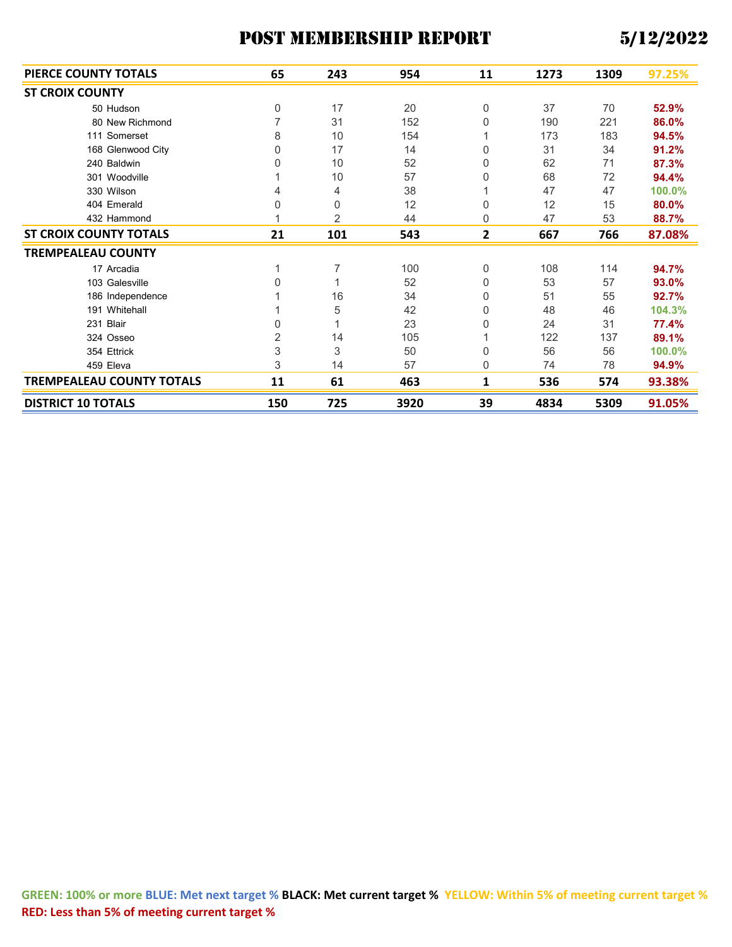| PIERCE COUNTY TOTALS             | 65             | 243            | 954  | 11 | 1273 | 1309 | 97.25% |
|----------------------------------|----------------|----------------|------|----|------|------|--------|
| <b>ST CROIX COUNTY</b>           |                |                |      |    |      |      |        |
| 50 Hudson                        | 0              | 17             | 20   | 0  | 37   | 70   | 52.9%  |
| 80 New Richmond                  | 7              | 31             | 152  | 0  | 190  | 221  | 86.0%  |
| 111 Somerset                     | 8              | 10             | 154  |    | 173  | 183  | 94.5%  |
| 168 Glenwood City                | $\Omega$       | 17             | 14   | 0  | 31   | 34   | 91.2%  |
| 240 Baldwin                      | $\Omega$       | 10             | 52   | 0  | 62   | 71   | 87.3%  |
| 301 Woodville                    |                | 10             | 57   | 0  | 68   | 72   | 94.4%  |
| 330 Wilson                       | 4              | 4              | 38   |    | 47   | 47   | 100.0% |
| 404 Emerald                      | $\Omega$       | $\Omega$       | 12   | 0  | 12   | 15   | 80.0%  |
| 432 Hammond                      |                | $\overline{2}$ | 44   | 0  | 47   | 53   | 88.7%  |
| <b>ST CROIX COUNTY TOTALS</b>    | 21             | 101            | 543  | 2  | 667  | 766  | 87.08% |
| <b>TREMPEALEAU COUNTY</b>        |                |                |      |    |      |      |        |
| 17 Arcadia                       |                | 7              | 100  | 0  | 108  | 114  | 94.7%  |
| 103 Galesville                   | $\Omega$       |                | 52   | 0  | 53   | 57   | 93.0%  |
| 186 Independence                 |                | 16             | 34   | 0  | 51   | 55   | 92.7%  |
| 191 Whitehall                    |                | 5              | 42   | 0  | 48   | 46   | 104.3% |
| 231 Blair                        | $\Omega$       |                | 23   | 0  | 24   | 31   | 77.4%  |
| 324 Osseo                        | $\overline{2}$ | 14             | 105  |    | 122  | 137  | 89.1%  |
| 354 Ettrick                      | $\mathsf 3$    | 3              | 50   | 0  | 56   | 56   | 100.0% |
| 459 Eleva                        | 3              | 14             | 57   | 0  | 74   | 78   | 94.9%  |
| <b>TREMPEALEAU COUNTY TOTALS</b> | 11             | 61             | 463  | 1  | 536  | 574  | 93.38% |
| <b>DISTRICT 10 TOTALS</b>        | 150            | 725            | 3920 | 39 | 4834 | 5309 | 91.05% |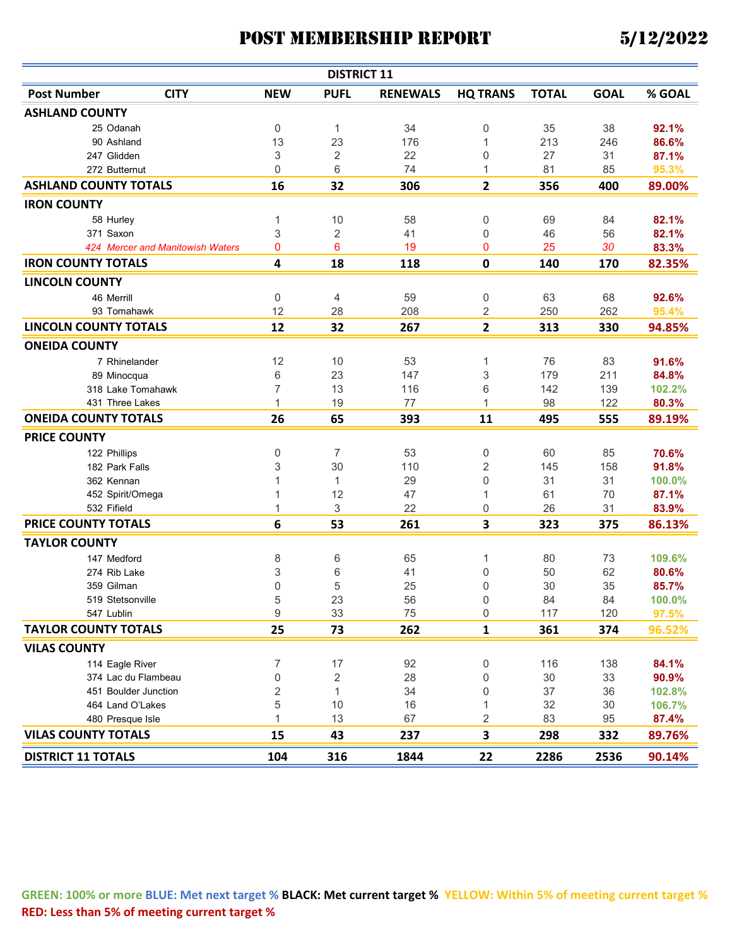| <b>DISTRICT 11</b>           |                                  |                           |                |                 |                  |              |             |        |  |  |
|------------------------------|----------------------------------|---------------------------|----------------|-----------------|------------------|--------------|-------------|--------|--|--|
| <b>Post Number</b>           | <b>CITY</b>                      | <b>NEW</b>                | <b>PUFL</b>    | <b>RENEWALS</b> | <b>HQ TRANS</b>  | <b>TOTAL</b> | <b>GOAL</b> | % GOAL |  |  |
| <b>ASHLAND COUNTY</b>        |                                  |                           |                |                 |                  |              |             |        |  |  |
| 25 Odanah                    |                                  | 0                         | 1              | 34              | 0                | 35           | 38          | 92.1%  |  |  |
| 90 Ashland                   |                                  | 13                        | 23             | 176             | 1                | 213          | 246         | 86.6%  |  |  |
| 247 Glidden                  |                                  | 3                         | $\overline{c}$ | 22              | 0                | 27           | 31          | 87.1%  |  |  |
| 272 Butternut                |                                  | $\mathbf 0$               | 6              | 74              | 1                | 81           | 85          | 95.3%  |  |  |
| <b>ASHLAND COUNTY TOTALS</b> |                                  | 16                        | 32             | 306             | $\mathbf{2}$     | 356          | 400         | 89.00% |  |  |
| <b>IRON COUNTY</b>           |                                  |                           |                |                 |                  |              |             |        |  |  |
| 58 Hurley                    |                                  | 1                         | 10             | 58              | $\boldsymbol{0}$ | 69           | 84          | 82.1%  |  |  |
| 371 Saxon                    |                                  | $\ensuremath{\mathsf{3}}$ | 2              | 41              | 0                | 46           | 56          | 82.1%  |  |  |
|                              | 424 Mercer and Manitowish Waters | 0                         | 6              | 19              | $\mathbf{0}$     | 25           | 30          | 83.3%  |  |  |
| <b>IRON COUNTY TOTALS</b>    |                                  | $\overline{\mathbf{4}}$   | 18             | 118             | 0                | 140          | 170         | 82.35% |  |  |
| <b>LINCOLN COUNTY</b>        |                                  |                           |                |                 |                  |              |             |        |  |  |
| 46 Merrill                   |                                  | 0                         | 4              | 59              | 0                | 63           | 68          | 92.6%  |  |  |
| 93 Tomahawk                  |                                  | 12                        | 28             | 208             | 2                | 250          | 262         | 95.4%  |  |  |
| <b>LINCOLN COUNTY TOTALS</b> |                                  | 12                        | 32             | 267             | 2                | 313          | 330         | 94.85% |  |  |
| <b>ONEIDA COUNTY</b>         |                                  |                           |                |                 |                  |              |             |        |  |  |
| 7 Rhinelander                |                                  | 12                        | 10             | 53              | 1                | 76           | 83          | 91.6%  |  |  |
| 89 Minocqua                  |                                  | 6                         | 23             | 147             | 3                | 179          | 211         | 84.8%  |  |  |
| 318 Lake Tomahawk            |                                  | $\overline{7}$            | 13             | 116             | 6                | 142          | 139         | 102.2% |  |  |
| 431 Three Lakes              |                                  | 1                         | 19             | 77              | 1                | 98           | 122         | 80.3%  |  |  |
| <b>ONEIDA COUNTY TOTALS</b>  |                                  | 26                        | 65             | 393             | 11               | 495          | 555         | 89.19% |  |  |
| <b>PRICE COUNTY</b>          |                                  |                           |                |                 |                  |              |             |        |  |  |
| 122 Phillips                 |                                  | 0                         | 7              | 53              | 0                | 60           | 85          | 70.6%  |  |  |
| 182 Park Falls               |                                  | 3                         | 30             | 110             | 2                | 145          | 158         | 91.8%  |  |  |
| 362 Kennan                   |                                  | 1                         | 1              | 29              | 0                | 31           | 31          | 100.0% |  |  |
| 452 Spirit/Omega             |                                  | 1                         | 12             | 47              | 1                | 61           | 70          | 87.1%  |  |  |
| 532 Fifield                  |                                  | 1                         | 3              | 22              | 0                | 26           | 31          | 83.9%  |  |  |
| <b>PRICE COUNTY TOTALS</b>   |                                  | 6                         | 53             | 261             | 3                | 323          | 375         | 86.13% |  |  |
| <b>TAYLOR COUNTY</b>         |                                  |                           |                |                 |                  |              |             |        |  |  |
| 147 Medford                  |                                  | 8                         | 6              | 65              | 1                | 80           | 73          | 109.6% |  |  |
| 274 Rib Lake                 |                                  | 3                         | 6              | 41              | 0                | 50           | 62          | 80.6%  |  |  |
| 359 Gilman                   |                                  | $\mathbf 0$               | 5              | 25              | 0                | 30           | 35          | 85.7%  |  |  |
| 519 Stetsonville             |                                  | 5                         | 23             | 56              | 0                | 84           | 84          | 100.0% |  |  |
| 547 Lublin                   |                                  | $\boldsymbol{9}$          | 33             | 75              | $\boldsymbol{0}$ | 117          | 120         | 97.5%  |  |  |
| <b>TAYLOR COUNTY TOTALS</b>  |                                  | 25                        | 73             | 262             | 1                | 361          | 374         | 96.52% |  |  |
| <b>VILAS COUNTY</b>          |                                  |                           |                |                 |                  |              |             |        |  |  |
| 114 Eagle River              |                                  | 7                         | 17             | 92              | 0                | 116          | 138         | 84.1%  |  |  |
| 374 Lac du Flambeau          |                                  | $\mathbf 0$               | 2              | 28              | 0                | 30           | 33          | 90.9%  |  |  |
| 451 Boulder Junction         |                                  | $\overline{c}$            | 1              | 34              | 0                | 37           | 36          | 102.8% |  |  |
| 464 Land O'Lakes             |                                  | 5                         | 10             | 16              | 1                | 32           | 30          | 106.7% |  |  |
| 480 Presque Isle             |                                  | 1                         | 13             | 67              | 2                | 83           | 95          | 87.4%  |  |  |
| <b>VILAS COUNTY TOTALS</b>   |                                  | 15                        | 43             | 237             | 3                | 298          | 332         | 89.76% |  |  |
| <b>DISTRICT 11 TOTALS</b>    |                                  | 104                       | 316            | 1844            | 22               | 2286         | 2536        | 90.14% |  |  |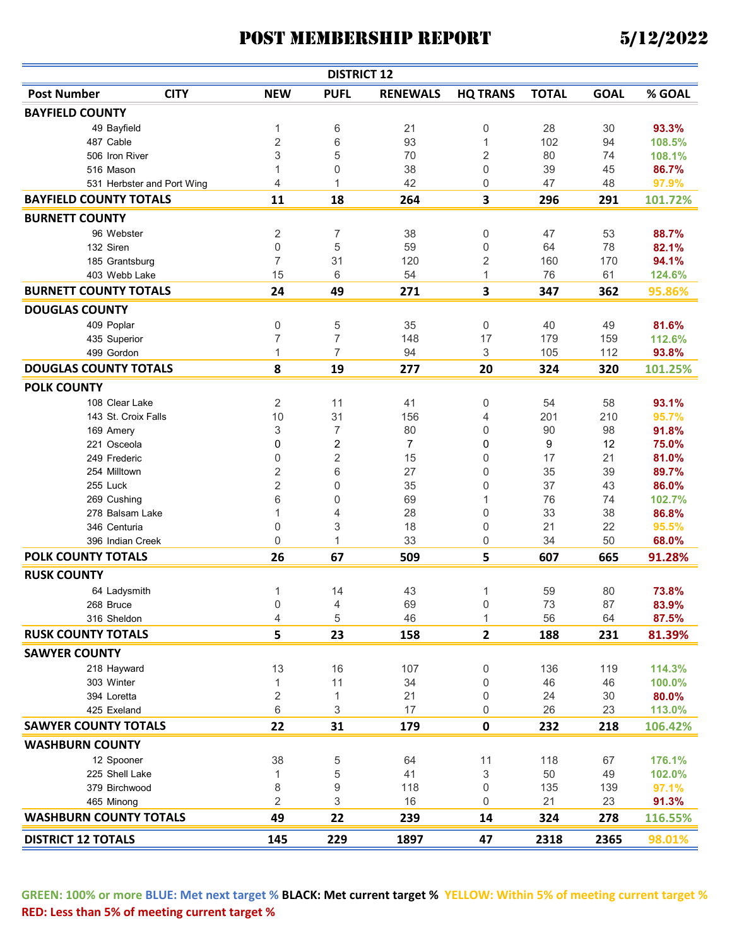| <b>DISTRICT 12</b>                |                  |                         |                 |                 |              |             |         |  |  |  |
|-----------------------------------|------------------|-------------------------|-----------------|-----------------|--------------|-------------|---------|--|--|--|
| <b>Post Number</b><br><b>CITY</b> | <b>NEW</b>       | <b>PUFL</b>             | <b>RENEWALS</b> | <b>HQ TRANS</b> | <b>TOTAL</b> | <b>GOAL</b> | % GOAL  |  |  |  |
| <b>BAYFIELD COUNTY</b>            |                  |                         |                 |                 |              |             |         |  |  |  |
| 49 Bayfield                       | 1                | 6                       | 21              | 0               | 28           | 30          | 93.3%   |  |  |  |
| 487 Cable                         | $\overline{2}$   | 6                       | 93              | 1               | 102          | 94          | 108.5%  |  |  |  |
| 506 Iron River                    | 3                | 5                       | 70              | 2               | 80           | 74          | 108.1%  |  |  |  |
| 516 Mason                         | 1                | 0                       | 38              | 0               | 39           | 45          | 86.7%   |  |  |  |
| 531 Herbster and Port Wing        | 4                | 1                       | 42              | 0               | 47           | 48          | 97.9%   |  |  |  |
| <b>BAYFIELD COUNTY TOTALS</b>     | 11               | 18                      | 264             | 3               | 296          | 291         | 101.72% |  |  |  |
| <b>BURNETT COUNTY</b>             |                  |                         |                 |                 |              |             |         |  |  |  |
| 96 Webster                        | $\overline{c}$   | 7                       | 38              | 0               | 47           | 53          | 88.7%   |  |  |  |
| 132 Siren                         | $\mathbf 0$      | 5                       | 59              | 0               | 64           | 78          | 82.1%   |  |  |  |
| 185 Grantsburg                    | $\overline{7}$   | 31                      | 120             | 2               | 160          | 170         | 94.1%   |  |  |  |
| 403 Webb Lake                     | 15               | 6                       | 54              | 1               | 76           | 61          | 124.6%  |  |  |  |
| <b>BURNETT COUNTY TOTALS</b>      | 24               | 49                      | 271             | 3               | 347          | 362         | 95.86%  |  |  |  |
| <b>DOUGLAS COUNTY</b>             |                  |                         |                 |                 |              |             |         |  |  |  |
| 409 Poplar                        | 0                | 5                       | 35              | 0               | 40           | 49          | 81.6%   |  |  |  |
| 435 Superior                      | 7                | 7                       | 148             | 17              | 179          | 159         | 112.6%  |  |  |  |
| 499 Gordon                        | 1                | 7                       | 94              | 3               | 105          | 112         | 93.8%   |  |  |  |
| <b>DOUGLAS COUNTY TOTALS</b>      | 8                | 19                      | 277             | 20              | 324          | 320         | 101.25% |  |  |  |
| <b>POLK COUNTY</b>                |                  |                         |                 |                 |              |             |         |  |  |  |
| 108 Clear Lake                    | $\overline{c}$   | 11                      | 41              | 0               | 54           | 58          | 93.1%   |  |  |  |
| 143 St. Croix Falls               | 10               | 31                      | 156             | 4               | 201          | 210         | 95.7%   |  |  |  |
| 169 Amery                         | 3                | 7                       | 80              | 0               | 90           | 98          | 91.8%   |  |  |  |
| 221 Osceola                       | 0                | $\overline{\mathbf{c}}$ | 7               | 0               | 9            | 12          | 75.0%   |  |  |  |
| 249 Frederic                      | $\boldsymbol{0}$ | $\overline{2}$          | 15              | 0               | 17           | 21          | 81.0%   |  |  |  |
| 254 Milltown                      | $\sqrt{2}$       | 6                       | 27              | 0               | 35           | 39          | 89.7%   |  |  |  |
| 255 Luck                          | $\overline{2}$   | 0                       | 35              | 0               | 37           | 43          | 86.0%   |  |  |  |
| 269 Cushing                       | 6                | 0                       | 69              | 1               | 76           | 74          | 102.7%  |  |  |  |
| 278 Balsam Lake                   | 1                | 4                       | 28              | 0               | 33           | 38          | 86.8%   |  |  |  |
| 346 Centuria                      | 0                | 3                       | 18              | 0               | 21           | 22          | 95.5%   |  |  |  |
| 396 Indian Creek                  | $\mathbf 0$      | 1                       | 33              | 0               | 34           | 50          | 68.0%   |  |  |  |
| POLK COUNTY TOTALS                | 26               | 67                      | 509             | 5               | 607          | 665         | 91.28%  |  |  |  |
| <b>RUSK COUNTY</b>                |                  |                         |                 |                 |              |             |         |  |  |  |
| 64 Ladysmith                      | 1                | 14                      | 43              | 1               | 59           | 80          | 73.8%   |  |  |  |
| 268 Bruce                         | $\mathbf{0}$     | 4                       | 69              | 0               | 73           | 87          | 83.9%   |  |  |  |
| 316 Sheldon                       | 4                | 5                       | 46              | 1               | 56           | 64          | 87.5%   |  |  |  |
| <b>RUSK COUNTY TOTALS</b>         | 5                | 23                      | 158             | $\overline{2}$  | 188          | 231         | 81.39%  |  |  |  |
| <b>SAWYER COUNTY</b>              |                  |                         |                 |                 |              |             |         |  |  |  |
| 218 Hayward                       | 13               | 16                      | 107             | 0               | 136          | 119         | 114.3%  |  |  |  |
| 303 Winter                        | 1                | 11                      | 34              | 0               | 46           | 46          | 100.0%  |  |  |  |
| 394 Loretta                       | $\overline{c}$   | 1                       | 21              | 0               | 24           | 30          | 80.0%   |  |  |  |
| 425 Exeland                       | $\,$ 6 $\,$      | 3                       | 17              | 0               | 26           | 23          | 113.0%  |  |  |  |
| <b>SAWYER COUNTY TOTALS</b>       | 22               | 31                      | 179             | 0               | 232          | 218         | 106.42% |  |  |  |
| <b>WASHBURN COUNTY</b>            |                  |                         |                 |                 |              |             |         |  |  |  |
| 12 Spooner                        | 38               | 5                       | 64              | 11              | 118          | 67          | 176.1%  |  |  |  |
| 225 Shell Lake                    | 1                | 5                       | 41              | 3               | 50           | 49          | 102.0%  |  |  |  |
| 379 Birchwood                     | 8                | 9                       | 118             | 0               | 135          | 139         | 97.1%   |  |  |  |
| 465 Minong                        | $\overline{c}$   | 3                       | 16              | 0               | 21           | 23          | 91.3%   |  |  |  |
| <b>WASHBURN COUNTY TOTALS</b>     | 49               | 22                      | 239             | 14              | 324          | 278         | 116.55% |  |  |  |
| <b>DISTRICT 12 TOTALS</b>         | 145              | 229                     | 1897            | 47              | 2318         | 2365        | 98.01%  |  |  |  |